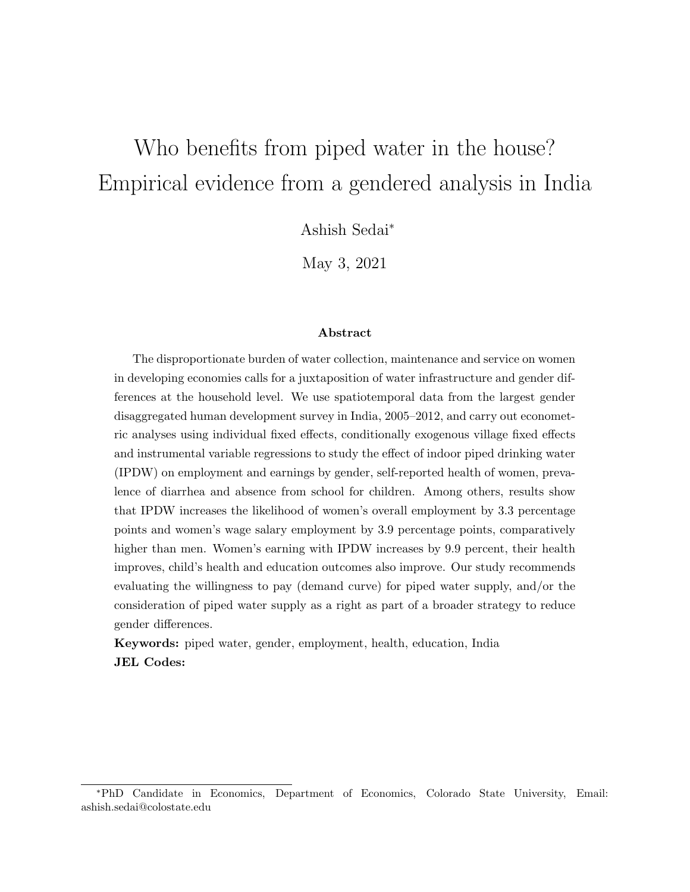# Who benefits from piped water in the house? Empirical evidence from a gendered analysis in India

Ashish Sedai<sup>∗</sup>

May 3, 2021

#### Abstract

The disproportionate burden of water collection, maintenance and service on women in developing economies calls for a juxtaposition of water infrastructure and gender differences at the household level. We use spatiotemporal data from the largest gender disaggregated human development survey in India, 2005–2012, and carry out econometric analyses using individual fixed effects, conditionally exogenous village fixed effects and instrumental variable regressions to study the effect of indoor piped drinking water (IPDW) on employment and earnings by gender, self-reported health of women, prevalence of diarrhea and absence from school for children. Among others, results show that IPDW increases the likelihood of women's overall employment by 3.3 percentage points and women's wage salary employment by 3.9 percentage points, comparatively higher than men. Women's earning with IPDW increases by 9.9 percent, their health improves, child's health and education outcomes also improve. Our study recommends evaluating the willingness to pay (demand curve) for piped water supply, and/or the consideration of piped water supply as a right as part of a broader strategy to reduce gender differences.

Keywords: piped water, gender, employment, health, education, India JEL Codes:

<sup>∗</sup>PhD Candidate in Economics, Department of Economics, Colorado State University, Email: ashish.sedai@colostate.edu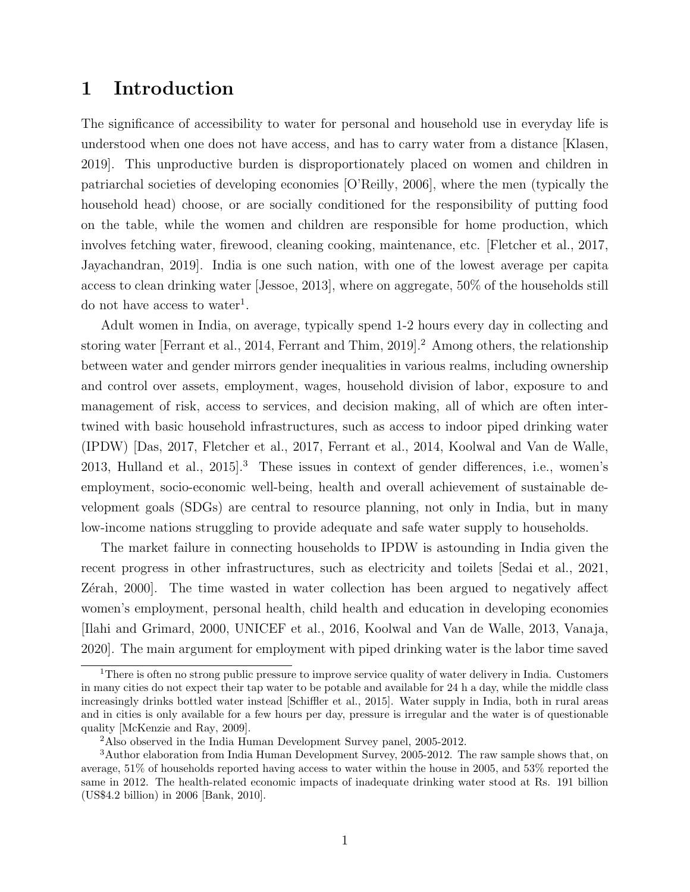## 1 Introduction

The significance of accessibility to water for personal and household use in everyday life is understood when one does not have access, and has to carry water from a distance [\[Klasen,](#page-25-0) [2019\]](#page-25-0). This unproductive burden is disproportionately placed on women and children in patriarchal societies of developing economies [\[O'Reilly, 2006\]](#page-26-0), where the men (typically the household head) choose, or are socially conditioned for the responsibility of putting food on the table, while the women and children are responsible for home production, which involves fetching water, firewood, cleaning cooking, maintenance, etc. [\[Fletcher et al., 2017,](#page-25-1) [Jayachandran, 2019\]](#page-25-2). India is one such nation, with one of the lowest average per capita access to clean drinking water [\[Jessoe, 2013\]](#page-25-3), where on aggregate, 50% of the households still do not have access to water<sup>[1](#page-1-0)</sup>.

Adult women in India, on average, typically spend 1-2 hours every day in collecting and storing water [\[Ferrant et al., 2014,](#page-25-4) [Ferrant and Thim, 2019\]](#page-25-5).<sup>[2](#page-1-1)</sup> Among others, the relationship between water and gender mirrors gender inequalities in various realms, including ownership and control over assets, employment, wages, household division of labor, exposure to and management of risk, access to services, and decision making, all of which are often intertwined with basic household infrastructures, such as access to indoor piped drinking water (IPDW) [\[Das, 2017,](#page-24-0) [Fletcher et al., 2017,](#page-25-1) [Ferrant et al., 2014,](#page-25-4) [Koolwal and Van de Walle,](#page-25-6) [2013,](#page-25-6) [Hulland et al., 2015\]](#page-25-7).[3](#page-1-2) These issues in context of gender differences, i.e., women's employment, socio-economic well-being, health and overall achievement of sustainable development goals (SDGs) are central to resource planning, not only in India, but in many low-income nations struggling to provide adequate and safe water supply to households.

The market failure in connecting households to IPDW is astounding in India given the recent progress in other infrastructures, such as electricity and toilets [\[Sedai et al., 2021,](#page-26-1) Zérah, 2000]. The time wasted in water collection has been argued to negatively affect women's employment, personal health, child health and education in developing economies [\[Ilahi and Grimard, 2000,](#page-25-8) [UNICEF et al., 2016,](#page-26-2) [Koolwal and Van de Walle, 2013,](#page-25-6) [Vanaja,](#page-26-3) [2020\]](#page-26-3). The main argument for employment with piped drinking water is the labor time saved

<span id="page-1-0"></span><sup>&</sup>lt;sup>1</sup>There is often no strong public pressure to improve service quality of water delivery in India. Customers in many cities do not expect their tap water to be potable and available for 24 h a day, while the middle class increasingly drinks bottled water instead [\[Schiffler et al., 2015\]](#page-26-4). Water supply in India, both in rural areas and in cities is only available for a few hours per day, pressure is irregular and the water is of questionable quality [\[McKenzie and Ray, 2009\]](#page-26-5).

<span id="page-1-2"></span><span id="page-1-1"></span><sup>2</sup>Also observed in the India Human Development Survey panel, 2005-2012.

<sup>3</sup>Author elaboration from India Human Development Survey, 2005-2012. The raw sample shows that, on average, 51% of households reported having access to water within the house in 2005, and 53% reported the same in 2012. The health-related economic impacts of inadequate drinking water stood at Rs. 191 billion (US\$4.2 billion) in 2006 [\[Bank, 2010\]](#page-24-1).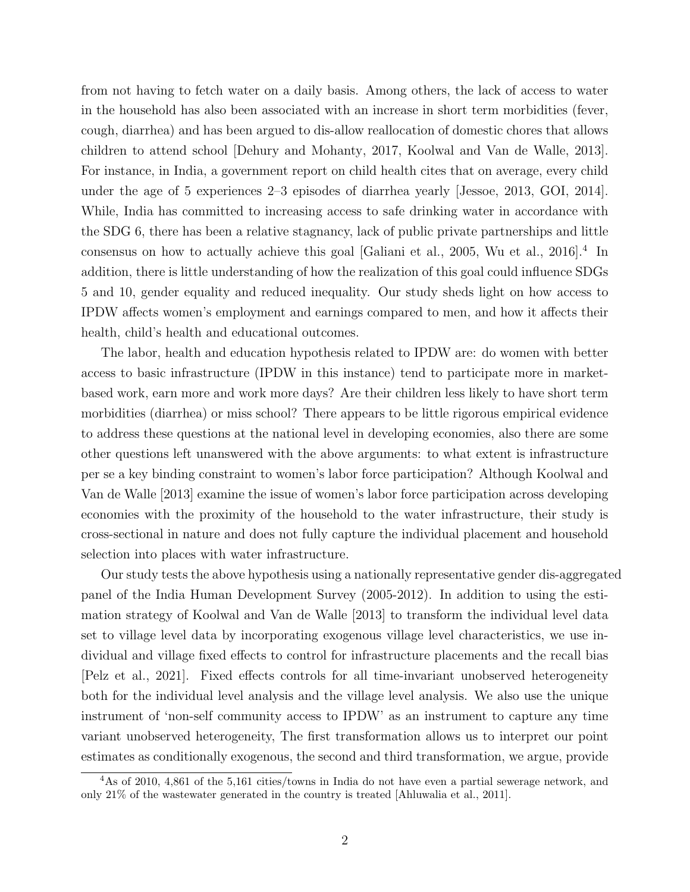from not having to fetch water on a daily basis. Among others, the lack of access to water in the household has also been associated with an increase in short term morbidities (fever, cough, diarrhea) and has been argued to dis-allow reallocation of domestic chores that allows children to attend school [\[Dehury and Mohanty, 2017,](#page-24-2) [Koolwal and Van de Walle, 2013\]](#page-25-6). For instance, in India, a government report on child health cites that on average, every child under the age of 5 experiences 2–3 episodes of diarrhea yearly [\[Jessoe, 2013,](#page-25-3) [GOI, 2014\]](#page-25-9). While, India has committed to increasing access to safe drinking water in accordance with the SDG 6, there has been a relative stagnancy, lack of public private partnerships and little consensus on how to actually achieve this goal [\[Galiani et al., 2005,](#page-25-10) [Wu et al., 2016\]](#page-26-6).<sup>[4](#page-2-0)</sup> In addition, there is little understanding of how the realization of this goal could influence SDGs 5 and 10, gender equality and reduced inequality. Our study sheds light on how access to IPDW affects women's employment and earnings compared to men, and how it affects their health, child's health and educational outcomes.

The labor, health and education hypothesis related to IPDW are: do women with better access to basic infrastructure (IPDW in this instance) tend to participate more in marketbased work, earn more and work more days? Are their children less likely to have short term morbidities (diarrhea) or miss school? There appears to be little rigorous empirical evidence to address these questions at the national level in developing economies, also there are some other questions left unanswered with the above arguments: to what extent is infrastructure per se a key binding constraint to women's labor force participation? Although [Koolwal and](#page-25-6) [Van de Walle](#page-25-6) [\[2013\]](#page-25-6) examine the issue of women's labor force participation across developing economies with the proximity of the household to the water infrastructure, their study is cross-sectional in nature and does not fully capture the individual placement and household selection into places with water infrastructure.

Our study tests the above hypothesis using a nationally representative gender dis-aggregated panel of the India Human Development Survey (2005-2012). In addition to using the estimation strategy of [Koolwal and Van de Walle](#page-25-6) [\[2013\]](#page-25-6) to transform the individual level data set to village level data by incorporating exogenous village level characteristics, we use individual and village fixed effects to control for infrastructure placements and the recall bias [\[Pelz et al., 2021\]](#page-26-7). Fixed effects controls for all time-invariant unobserved heterogeneity both for the individual level analysis and the village level analysis. We also use the unique instrument of 'non-self community access to IPDW' as an instrument to capture any time variant unobserved heterogeneity, The first transformation allows us to interpret our point estimates as conditionally exogenous, the second and third transformation, we argue, provide

<span id="page-2-0"></span><sup>4</sup>As of 2010, 4,861 of the 5,161 cities/towns in India do not have even a partial sewerage network, and only 21% of the wastewater generated in the country is treated [\[Ahluwalia et al., 2011\]](#page-24-3).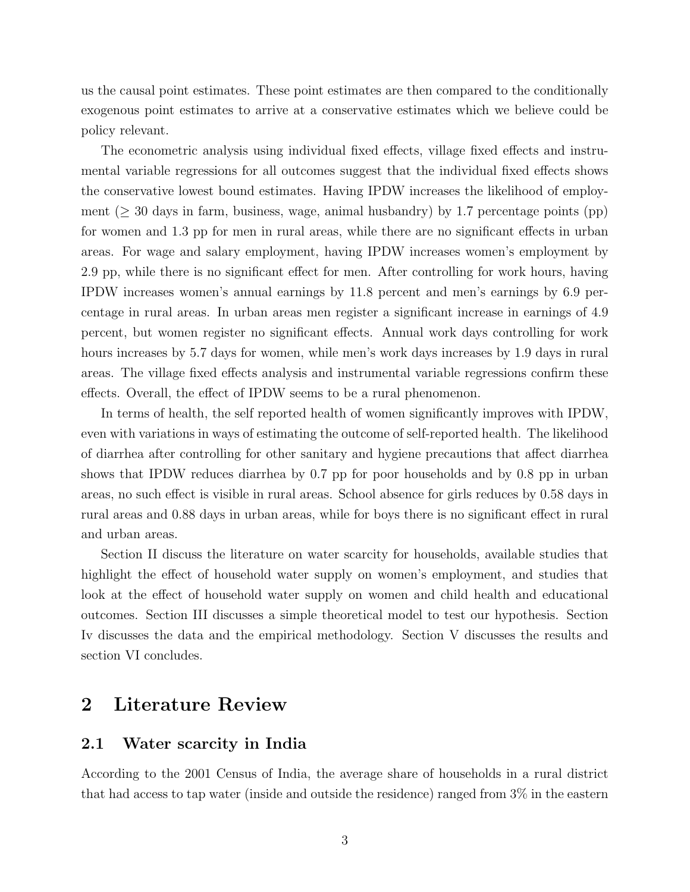us the causal point estimates. These point estimates are then compared to the conditionally exogenous point estimates to arrive at a conservative estimates which we believe could be policy relevant.

The econometric analysis using individual fixed effects, village fixed effects and instrumental variable regressions for all outcomes suggest that the individual fixed effects shows the conservative lowest bound estimates. Having IPDW increases the likelihood of employment ( $\geq$  30 days in farm, business, wage, animal husbandry) by 1.7 percentage points (pp) for women and 1.3 pp for men in rural areas, while there are no significant effects in urban areas. For wage and salary employment, having IPDW increases women's employment by 2.9 pp, while there is no significant effect for men. After controlling for work hours, having IPDW increases women's annual earnings by 11.8 percent and men's earnings by 6.9 percentage in rural areas. In urban areas men register a significant increase in earnings of 4.9 percent, but women register no significant effects. Annual work days controlling for work hours increases by 5.7 days for women, while men's work days increases by 1.9 days in rural areas. The village fixed effects analysis and instrumental variable regressions confirm these effects. Overall, the effect of IPDW seems to be a rural phenomenon.

In terms of health, the self reported health of women significantly improves with IPDW, even with variations in ways of estimating the outcome of self-reported health. The likelihood of diarrhea after controlling for other sanitary and hygiene precautions that affect diarrhea shows that IPDW reduces diarrhea by 0.7 pp for poor households and by 0.8 pp in urban areas, no such effect is visible in rural areas. School absence for girls reduces by 0.58 days in rural areas and 0.88 days in urban areas, while for boys there is no significant effect in rural and urban areas.

Section II discuss the literature on water scarcity for households, available studies that highlight the effect of household water supply on women's employment, and studies that look at the effect of household water supply on women and child health and educational outcomes. Section III discusses a simple theoretical model to test our hypothesis. Section Iv discusses the data and the empirical methodology. Section V discusses the results and section VI concludes.

## 2 Literature Review

#### 2.1 Water scarcity in India

According to the 2001 Census of India, the average share of households in a rural district that had access to tap water (inside and outside the residence) ranged from 3% in the eastern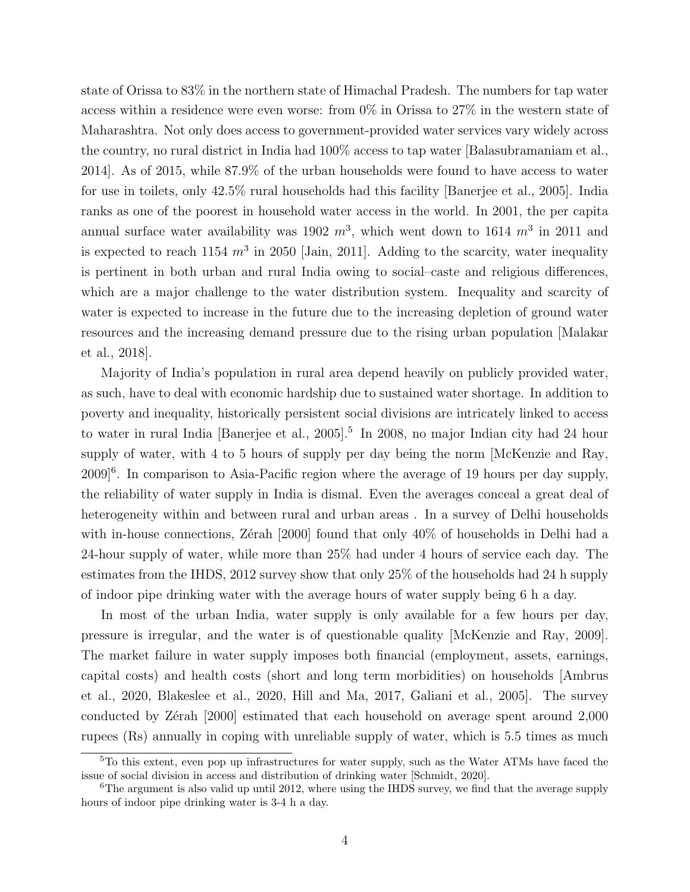state of Orissa to 83% in the northern state of Himachal Pradesh. The numbers for tap water access within a residence were even worse: from 0% in Orissa to 27% in the western state of Maharashtra. Not only does access to government-provided water services vary widely across the country, no rural district in India had 100% access to tap water [\[Balasubramaniam et al.,](#page-24-4) [2014\]](#page-24-4). As of 2015, while 87.9% of the urban households were found to have access to water for use in toilets, only 42.5% rural households had this facility [\[Banerjee et al., 2005\]](#page-24-5). India ranks as one of the poorest in household water access in the world. In 2001, the per capita annual surface water availability was 1902  $m^3$ , which went down to 1614  $m^3$  in 2011 and is expected to reach 1154  $m^3$  in 2050 [\[Jain, 2011\]](#page-25-11). Adding to the scarcity, water inequality is pertinent in both urban and rural India owing to social–caste and religious differences, which are a major challenge to the water distribution system. Inequality and scarcity of water is expected to increase in the future due to the increasing depletion of ground water resources and the increasing demand pressure due to the rising urban population [\[Malakar](#page-26-8) [et al., 2018\]](#page-26-8).

Majority of India's population in rural area depend heavily on publicly provided water, as such, have to deal with economic hardship due to sustained water shortage. In addition to poverty and inequality, historically persistent social divisions are intricately linked to access to water in rural India [\[Banerjee et al., 2005\]](#page-24-5).<sup>[5](#page-4-0)</sup> In 2008, no major Indian city had 24 hour supply of water, with 4 to 5 hours of supply per day being the norm [\[McKenzie and Ray,](#page-26-5) 2009<sup>[[6](#page-4-1)</sup>. In comparison to Asia-Pacific region where the average of 19 hours per day supply, the reliability of water supply in India is dismal. Even the averages conceal a great deal of heterogeneity within and between rural and urban areas. In a survey of Delhi households with in-house connections, Zérah  $[2000]$  found that only 40% of households in Delhi had a 24-hour supply of water, while more than 25% had under 4 hours of service each day. The estimates from the IHDS, 2012 survey show that only 25% of the households had 24 h supply of indoor pipe drinking water with the average hours of water supply being 6 h a day.

In most of the urban India, water supply is only available for a few hours per day, pressure is irregular, and the water is of questionable quality [\[McKenzie and Ray, 2009\]](#page-26-5). The market failure in water supply imposes both financial (employment, assets, earnings, capital costs) and health costs (short and long term morbidities) on households [\[Ambrus](#page-24-6) [et al., 2020,](#page-24-6) [Blakeslee et al., 2020,](#page-24-7) [Hill and Ma, 2017,](#page-25-12) [Galiani et al., 2005\]](#page-25-10). The survey conducted by Zérah [\[2000\]](#page-27-0) estimated that each household on average spent around 2,000 rupees (Rs) annually in coping with unreliable supply of water, which is 5.5 times as much

<span id="page-4-0"></span><sup>&</sup>lt;sup>5</sup>To this extent, even pop up infrastructures for water supply, such as the Water ATMs have faced the issue of social division in access and distribution of drinking water [\[Schmidt, 2020\]](#page-26-9).

<span id="page-4-1"></span><sup>&</sup>lt;sup>6</sup>The argument is also valid up until 2012, where using the IHDS survey, we find that the average supply hours of indoor pipe drinking water is 3-4 h a day.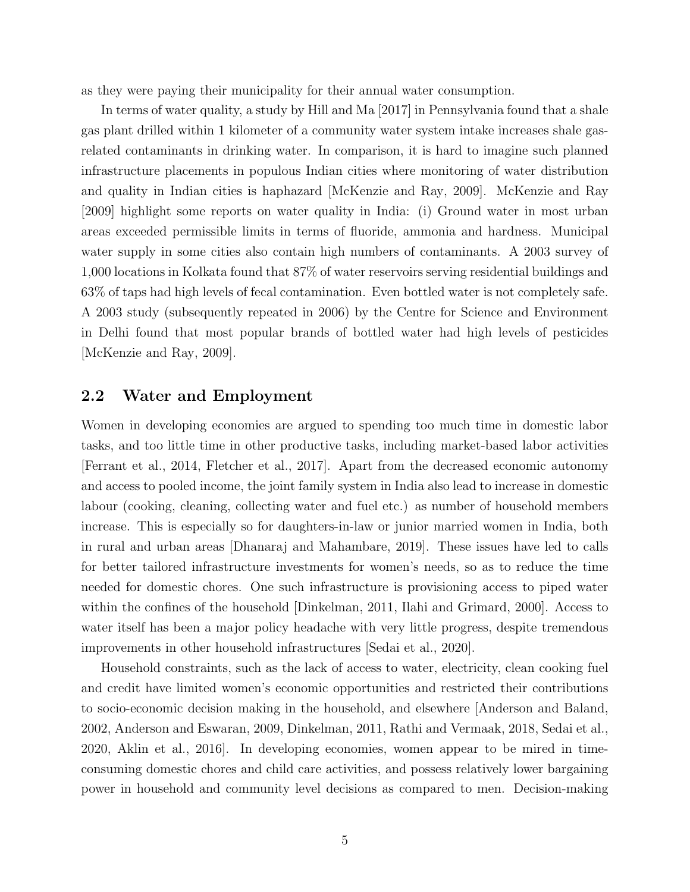as they were paying their municipality for their annual water consumption.

In terms of water quality, a study by [Hill and Ma](#page-25-12) [\[2017\]](#page-25-12) in Pennsylvania found that a shale gas plant drilled within 1 kilometer of a community water system intake increases shale gasrelated contaminants in drinking water. In comparison, it is hard to imagine such planned infrastructure placements in populous Indian cities where monitoring of water distribution and quality in Indian cities is haphazard [\[McKenzie and Ray, 2009\]](#page-26-5). [McKenzie and Ray](#page-26-5) [\[2009\]](#page-26-5) highlight some reports on water quality in India: (i) Ground water in most urban areas exceeded permissible limits in terms of fluoride, ammonia and hardness. Municipal water supply in some cities also contain high numbers of contaminants. A 2003 survey of 1,000 locations in Kolkata found that 87% of water reservoirs serving residential buildings and 63% of taps had high levels of fecal contamination. Even bottled water is not completely safe. A 2003 study (subsequently repeated in 2006) by the Centre for Science and Environment in Delhi found that most popular brands of bottled water had high levels of pesticides [\[McKenzie and Ray, 2009\]](#page-26-5).

#### 2.2 Water and Employment

Women in developing economies are argued to spending too much time in domestic labor tasks, and too little time in other productive tasks, including market-based labor activities [\[Ferrant et al., 2014,](#page-25-4) [Fletcher et al., 2017\]](#page-25-1). Apart from the decreased economic autonomy and access to pooled income, the joint family system in India also lead to increase in domestic labour (cooking, cleaning, collecting water and fuel etc.) as number of household members increase. This is especially so for daughters-in-law or junior married women in India, both in rural and urban areas [\[Dhanaraj and Mahambare, 2019\]](#page-24-8). These issues have led to calls for better tailored infrastructure investments for women's needs, so as to reduce the time needed for domestic chores. One such infrastructure is provisioning access to piped water within the confines of the household [\[Dinkelman, 2011,](#page-24-9) [Ilahi and Grimard, 2000\]](#page-25-8). Access to water itself has been a major policy headache with very little progress, despite tremendous improvements in other household infrastructures [\[Sedai et al., 2020\]](#page-26-10).

Household constraints, such as the lack of access to water, electricity, clean cooking fuel and credit have limited women's economic opportunities and restricted their contributions to socio-economic decision making in the household, and elsewhere [\[Anderson and Baland,](#page-24-10) [2002,](#page-24-10) [Anderson and Eswaran, 2009,](#page-24-11) [Dinkelman, 2011,](#page-24-9) [Rathi and Vermaak, 2018,](#page-26-11) [Sedai et al.,](#page-26-10) [2020,](#page-26-10) [Aklin et al., 2016\]](#page-24-12). In developing economies, women appear to be mired in timeconsuming domestic chores and child care activities, and possess relatively lower bargaining power in household and community level decisions as compared to men. Decision-making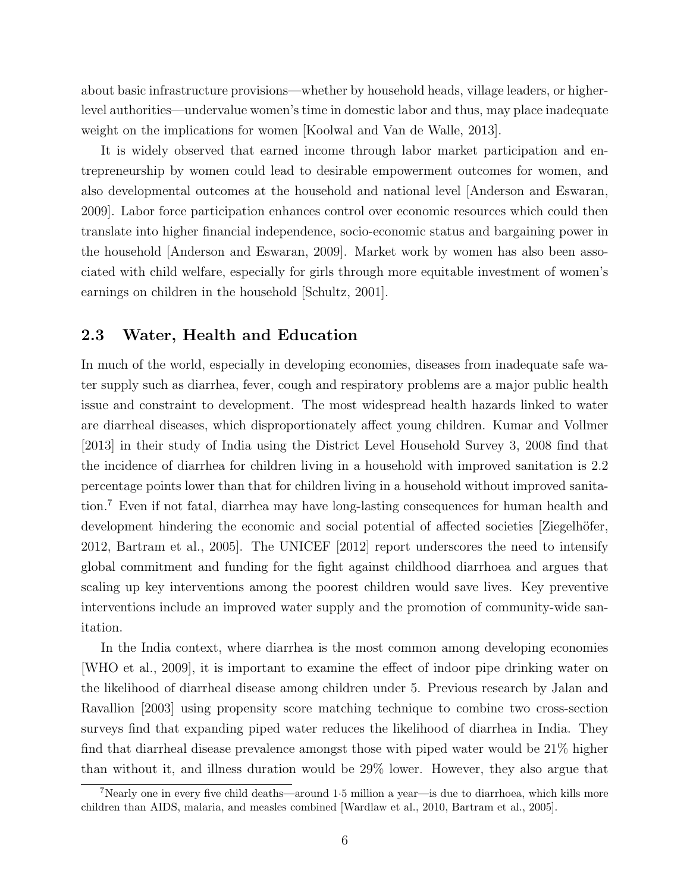about basic infrastructure provisions—whether by household heads, village leaders, or higherlevel authorities—undervalue women's time in domestic labor and thus, may place inadequate weight on the implications for women [\[Koolwal and Van de Walle, 2013\]](#page-25-6).

It is widely observed that earned income through labor market participation and entrepreneurship by women could lead to desirable empowerment outcomes for women, and also developmental outcomes at the household and national level [\[Anderson and Eswaran,](#page-24-11) [2009\]](#page-24-11). Labor force participation enhances control over economic resources which could then translate into higher financial independence, socio-economic status and bargaining power in the household [\[Anderson and Eswaran, 2009\]](#page-24-11). Market work by women has also been associated with child welfare, especially for girls through more equitable investment of women's earnings on children in the household [\[Schultz, 2001\]](#page-26-12).

#### 2.3 Water, Health and Education

In much of the world, especially in developing economies, diseases from inadequate safe water supply such as diarrhea, fever, cough and respiratory problems are a major public health issue and constraint to development. The most widespread health hazards linked to water are diarrheal diseases, which disproportionately affect young children. [Kumar and Vollmer](#page-25-13) [\[2013\]](#page-25-13) in their study of India using the District Level Household Survey 3, 2008 find that the incidence of diarrhea for children living in a household with improved sanitation is 2.2 percentage points lower than that for children living in a household without improved sanitation.[7](#page-6-0) Even if not fatal, diarrhea may have long-lasting consequences for human health and development hindering the economic and social potential of affected societies [Ziegelhöfer, [2012,](#page-27-1) [Bartram et al., 2005\]](#page-24-13). The [UNICEF](#page-26-13) [\[2012\]](#page-26-13) report underscores the need to intensify global commitment and funding for the fight against childhood diarrhoea and argues that scaling up key interventions among the poorest children would save lives. Key preventive interventions include an improved water supply and the promotion of community-wide sanitation.

In the India context, where diarrhea is the most common among developing economies [\[WHO et al., 2009\]](#page-26-14), it is important to examine the effect of indoor pipe drinking water on the likelihood of diarrheal disease among children under 5. Previous research by [Jalan and](#page-25-14) [Ravallion](#page-25-14) [\[2003\]](#page-25-14) using propensity score matching technique to combine two cross-section surveys find that expanding piped water reduces the likelihood of diarrhea in India. They find that diarrheal disease prevalence amongst those with piped water would be 21% higher than without it, and illness duration would be 29% lower. However, they also argue that

<span id="page-6-0"></span><sup>7</sup>Nearly one in every five child deaths—around 1·5 million a year—is due to diarrhoea, which kills more children than AIDS, malaria, and measles combined [\[Wardlaw et al., 2010,](#page-26-15) [Bartram et al., 2005\]](#page-24-13).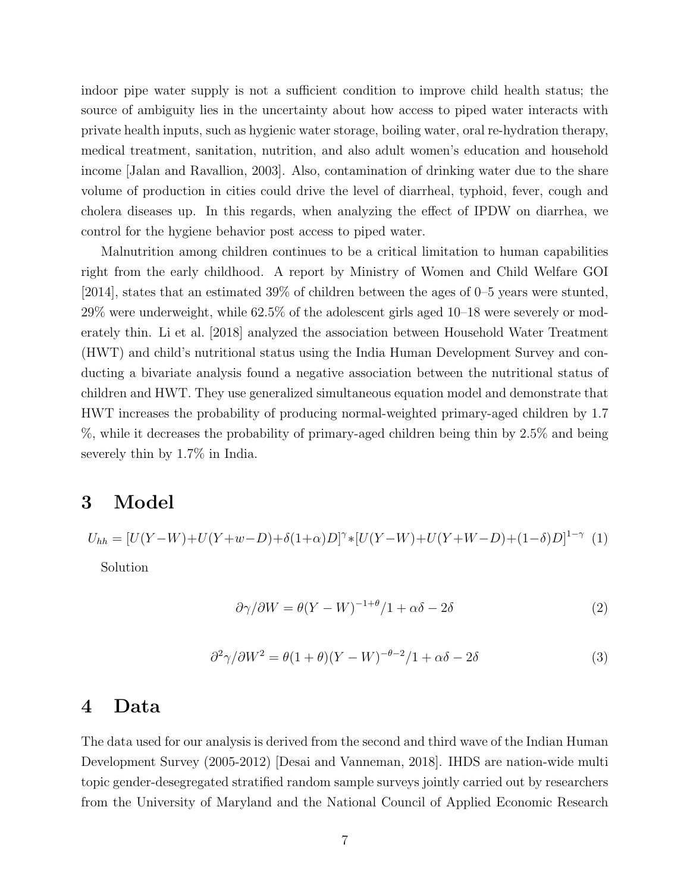indoor pipe water supply is not a sufficient condition to improve child health status; the source of ambiguity lies in the uncertainty about how access to piped water interacts with private health inputs, such as hygienic water storage, boiling water, oral re-hydration therapy, medical treatment, sanitation, nutrition, and also adult women's education and household income [\[Jalan and Ravallion, 2003\]](#page-25-14). Also, contamination of drinking water due to the share volume of production in cities could drive the level of diarrheal, typhoid, fever, cough and cholera diseases up. In this regards, when analyzing the effect of IPDW on diarrhea, we control for the hygiene behavior post access to piped water.

Malnutrition among children continues to be a critical limitation to human capabilities right from the early childhood. A report by Ministry of Women and Child Welfare [GOI](#page-25-9) [\[2014\]](#page-25-9), states that an estimated 39% of children between the ages of 0–5 years were stunted, 29% were underweight, while 62.5% of the adolescent girls aged 10–18 were severely or moderately thin. [Li et al.](#page-25-15) [\[2018\]](#page-25-15) analyzed the association between Household Water Treatment (HWT) and child's nutritional status using the India Human Development Survey and conducting a bivariate analysis found a negative association between the nutritional status of children and HWT. They use generalized simultaneous equation model and demonstrate that HWT increases the probability of producing normal-weighted primary-aged children by 1.7 %, while it decreases the probability of primary-aged children being thin by 2.5% and being severely thin by 1.7% in India.

#### 3 Model

$$
U_{hh} = [U(Y-W) + U(Y+w-D) + \delta(1+\alpha)D]^{\gamma} * [U(Y-W) + U(Y+W-D) + (1-\delta)D]^{1-\gamma} (1)
$$

Solution

$$
\frac{\partial \gamma}{\partial W} = \theta (Y - W)^{-1 + \theta} / 1 + \alpha \delta - 2\delta \tag{2}
$$

$$
\frac{\partial^2 \gamma}{\partial W^2} = \theta (1 + \theta)(Y - W)^{-\theta - 2}/1 + \alpha \delta - 2\delta \tag{3}
$$

#### 4 Data

The data used for our analysis is derived from the second and third wave of the Indian Human Development Survey (2005-2012) [\[Desai and Vanneman, 2018\]](#page-24-14). IHDS are nation-wide multi topic gender-desegregated stratified random sample surveys jointly carried out by researchers from the University of Maryland and the National Council of Applied Economic Research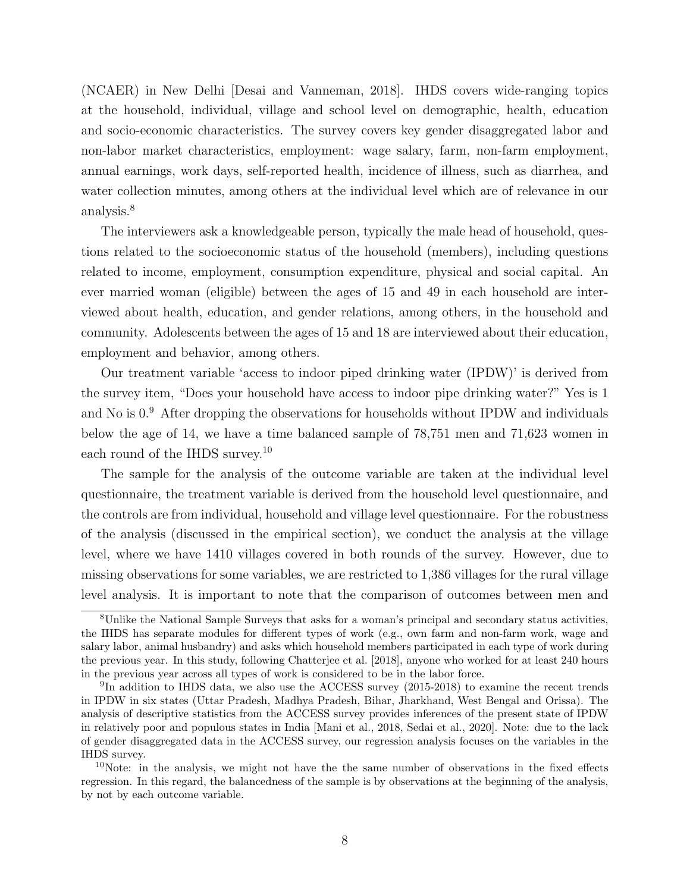(NCAER) in New Delhi [\[Desai and Vanneman, 2018\]](#page-24-14). IHDS covers wide-ranging topics at the household, individual, village and school level on demographic, health, education and socio-economic characteristics. The survey covers key gender disaggregated labor and non-labor market characteristics, employment: wage salary, farm, non-farm employment, annual earnings, work days, self-reported health, incidence of illness, such as diarrhea, and water collection minutes, among others at the individual level which are of relevance in our analysis.<sup>[8](#page-8-0)</sup>

The interviewers ask a knowledgeable person, typically the male head of household, questions related to the socioeconomic status of the household (members), including questions related to income, employment, consumption expenditure, physical and social capital. An ever married woman (eligible) between the ages of 15 and 49 in each household are interviewed about health, education, and gender relations, among others, in the household and community. Adolescents between the ages of 15 and 18 are interviewed about their education, employment and behavior, among others.

Our treatment variable 'access to indoor piped drinking water (IPDW)' is derived from the survey item, "Does your household have access to indoor pipe drinking water?" Yes is 1 and No is 0.[9](#page-8-1) After dropping the observations for households without IPDW and individuals below the age of 14, we have a time balanced sample of 78,751 men and 71,623 women in each round of the IHDS survey.[10](#page-8-2)

The sample for the analysis of the outcome variable are taken at the individual level questionnaire, the treatment variable is derived from the household level questionnaire, and the controls are from individual, household and village level questionnaire. For the robustness of the analysis (discussed in the empirical section), we conduct the analysis at the village level, where we have 1410 villages covered in both rounds of the survey. However, due to missing observations for some variables, we are restricted to 1,386 villages for the rural village level analysis. It is important to note that the comparison of outcomes between men and

<span id="page-8-0"></span><sup>8</sup>Unlike the National Sample Surveys that asks for a woman's principal and secondary status activities, the IHDS has separate modules for different types of work (e.g., own farm and non-farm work, wage and salary labor, animal husbandry) and asks which household members participated in each type of work during the previous year. In this study, following [Chatterjee et al.](#page-24-15) [\[2018\]](#page-24-15), anyone who worked for at least 240 hours in the previous year across all types of work is considered to be in the labor force.

<span id="page-8-1"></span><sup>&</sup>lt;sup>9</sup>In addition to IHDS data, we also use the ACCESS survey (2015-2018) to examine the recent trends in IPDW in six states (Uttar Pradesh, Madhya Pradesh, Bihar, Jharkhand, West Bengal and Orissa). The analysis of descriptive statistics from the ACCESS survey provides inferences of the present state of IPDW in relatively poor and populous states in India [\[Mani et al., 2018,](#page-26-16) [Sedai et al., 2020\]](#page-26-10). Note: due to the lack of gender disaggregated data in the ACCESS survey, our regression analysis focuses on the variables in the IHDS survey.

<span id="page-8-2"></span> $10$ Note: in the analysis, we might not have the the same number of observations in the fixed effects regression. In this regard, the balancedness of the sample is by observations at the beginning of the analysis, by not by each outcome variable.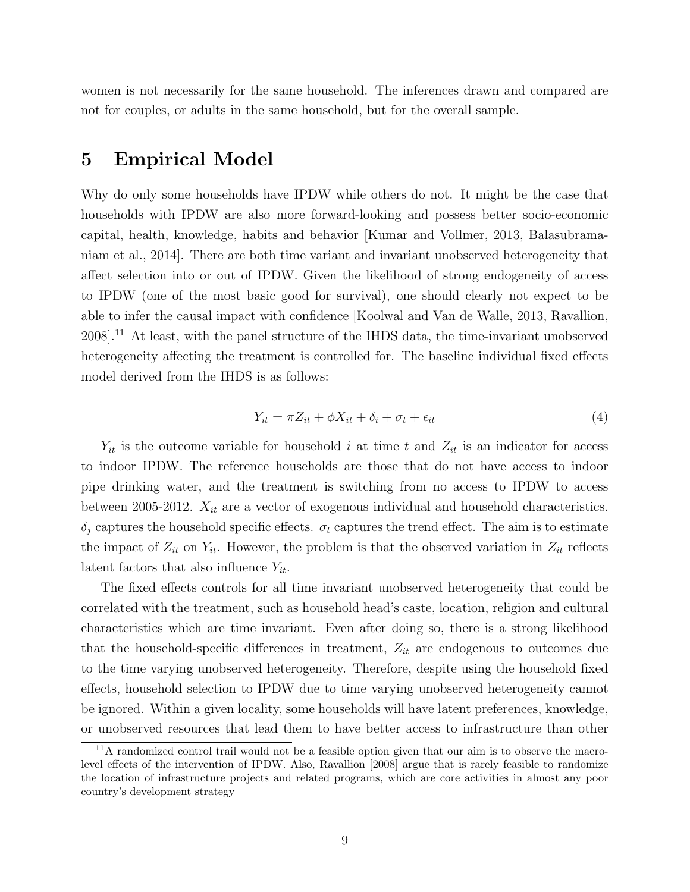women is not necessarily for the same household. The inferences drawn and compared are not for couples, or adults in the same household, but for the overall sample.

## 5 Empirical Model

Why do only some households have IPDW while others do not. It might be the case that households with IPDW are also more forward-looking and possess better socio-economic capital, health, knowledge, habits and behavior [\[Kumar and Vollmer, 2013,](#page-25-13) [Balasubrama](#page-24-4)[niam et al., 2014\]](#page-24-4). There are both time variant and invariant unobserved heterogeneity that affect selection into or out of IPDW. Given the likelihood of strong endogeneity of access to IPDW (one of the most basic good for survival), one should clearly not expect to be able to infer the causal impact with confidence [\[Koolwal and Van de Walle, 2013,](#page-25-6) [Ravallion,](#page-26-17) [2008\]](#page-26-17).[11](#page-9-0) At least, with the panel structure of the IHDS data, the time-invariant unobserved heterogeneity affecting the treatment is controlled for. The baseline individual fixed effects model derived from the IHDS is as follows:

<span id="page-9-1"></span>
$$
Y_{it} = \pi Z_{it} + \phi X_{it} + \delta_i + \sigma_t + \epsilon_{it}
$$
\n<sup>(4)</sup>

 $Y_{it}$  is the outcome variable for household i at time t and  $Z_{it}$  is an indicator for access to indoor IPDW. The reference households are those that do not have access to indoor pipe drinking water, and the treatment is switching from no access to IPDW to access between 2005-2012.  $X_{it}$  are a vector of exogenous individual and household characteristics.  $\delta_i$  captures the household specific effects.  $\sigma_t$  captures the trend effect. The aim is to estimate the impact of  $Z_{it}$  on  $Y_{it}$ . However, the problem is that the observed variation in  $Z_{it}$  reflects latent factors that also influence  $Y_{it}$ .

The fixed effects controls for all time invariant unobserved heterogeneity that could be correlated with the treatment, such as household head's caste, location, religion and cultural characteristics which are time invariant. Even after doing so, there is a strong likelihood that the household-specific differences in treatment,  $Z_{it}$  are endogenous to outcomes due to the time varying unobserved heterogeneity. Therefore, despite using the household fixed effects, household selection to IPDW due to time varying unobserved heterogeneity cannot be ignored. Within a given locality, some households will have latent preferences, knowledge, or unobserved resources that lead them to have better access to infrastructure than other

<span id="page-9-0"></span><sup>&</sup>lt;sup>11</sup>A randomized control trail would not be a feasible option given that our aim is to observe the macrolevel effects of the intervention of IPDW. Also, [Ravallion](#page-26-17) [\[2008\]](#page-26-17) argue that is rarely feasible to randomize the location of infrastructure projects and related programs, which are core activities in almost any poor country's development strategy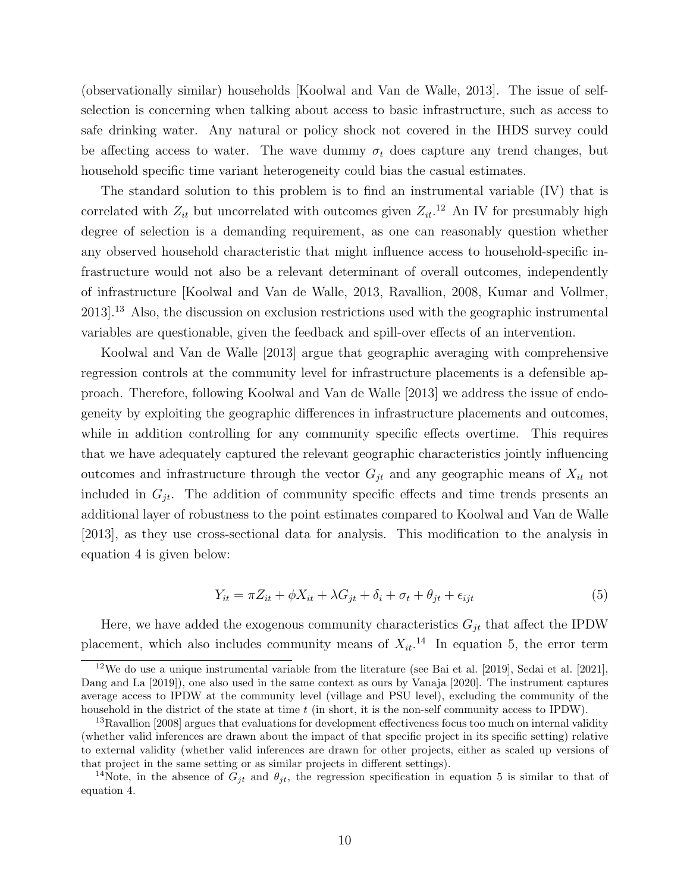(observationally similar) households [\[Koolwal and Van de Walle, 2013\]](#page-25-6). The issue of selfselection is concerning when talking about access to basic infrastructure, such as access to safe drinking water. Any natural or policy shock not covered in the IHDS survey could be affecting access to water. The wave dummy  $\sigma_t$  does capture any trend changes, but household specific time variant heterogeneity could bias the casual estimates.

The standard solution to this problem is to find an instrumental variable (IV) that is correlated with  $Z_{it}$  but uncorrelated with outcomes given  $Z_{it}$ .<sup>[12](#page-10-0)</sup> An IV for presumably high degree of selection is a demanding requirement, as one can reasonably question whether any observed household characteristic that might influence access to household-specific infrastructure would not also be a relevant determinant of overall outcomes, independently of infrastructure [\[Koolwal and Van de Walle, 2013,](#page-25-6) [Ravallion, 2008,](#page-26-17) [Kumar and Vollmer,](#page-25-13) [2013\]](#page-25-13).[13](#page-10-1) Also, the discussion on exclusion restrictions used with the geographic instrumental variables are questionable, given the feedback and spill-over effects of an intervention.

[Koolwal and Van de Walle](#page-25-6) [\[2013\]](#page-25-6) argue that geographic averaging with comprehensive regression controls at the community level for infrastructure placements is a defensible approach. Therefore, following [Koolwal and Van de Walle](#page-25-6) [\[2013\]](#page-25-6) we address the issue of endogeneity by exploiting the geographic differences in infrastructure placements and outcomes, while in addition controlling for any community specific effects overtime. This requires that we have adequately captured the relevant geographic characteristics jointly influencing outcomes and infrastructure through the vector  $G_{jt}$  and any geographic means of  $X_{it}$  not included in  $G_{jt}$ . The addition of community specific effects and time trends presents an additional layer of robustness to the point estimates compared to [Koolwal and Van de Walle](#page-25-6) [\[2013\]](#page-25-6), as they use cross-sectional data for analysis. This modification to the analysis in equation [4](#page-9-1) is given below:

<span id="page-10-3"></span>
$$
Y_{it} = \pi Z_{it} + \phi X_{it} + \lambda G_{jt} + \delta_i + \sigma_t + \theta_{jt} + \epsilon_{ijt}
$$
\n
$$
\tag{5}
$$

Here, we have added the exogenous community characteristics  $G_{jt}$  that affect the IPDW placement, which also includes community means of  $X_{it}$ <sup>[14](#page-10-2)</sup>. In equation [5,](#page-10-3) the error term

<span id="page-10-0"></span> $12$ We do use a unique instrumental variable from the literature (see [Bai et al.](#page-24-16) [\[2019\]](#page-24-16), [Sedai et al.](#page-26-1) [\[2021\]](#page-26-1), [Dang and La](#page-24-17) [\[2019\]](#page-24-17)), one also used in the same context as ours by [Vanaja](#page-26-3) [\[2020\]](#page-26-3). The instrument captures average access to IPDW at the community level (village and PSU level), excluding the community of the household in the district of the state at time  $t$  (in short, it is the non-self community access to IPDW).

<span id="page-10-1"></span><sup>&</sup>lt;sup>13</sup>[Ravallion](#page-26-17) [\[2008\]](#page-26-17) argues that evaluations for development effectiveness focus too much on internal validity (whether valid inferences are drawn about the impact of that specific project in its specific setting) relative to external validity (whether valid inferences are drawn for other projects, either as scaled up versions of that project in the same setting or as similar projects in different settings).

<span id="page-10-2"></span><sup>&</sup>lt;sup>14</sup>Note, in the absence of  $G_{jt}$  and  $\theta_{jt}$ , the regression specification in equation [5](#page-10-3) is similar to that of equation [4.](#page-9-1)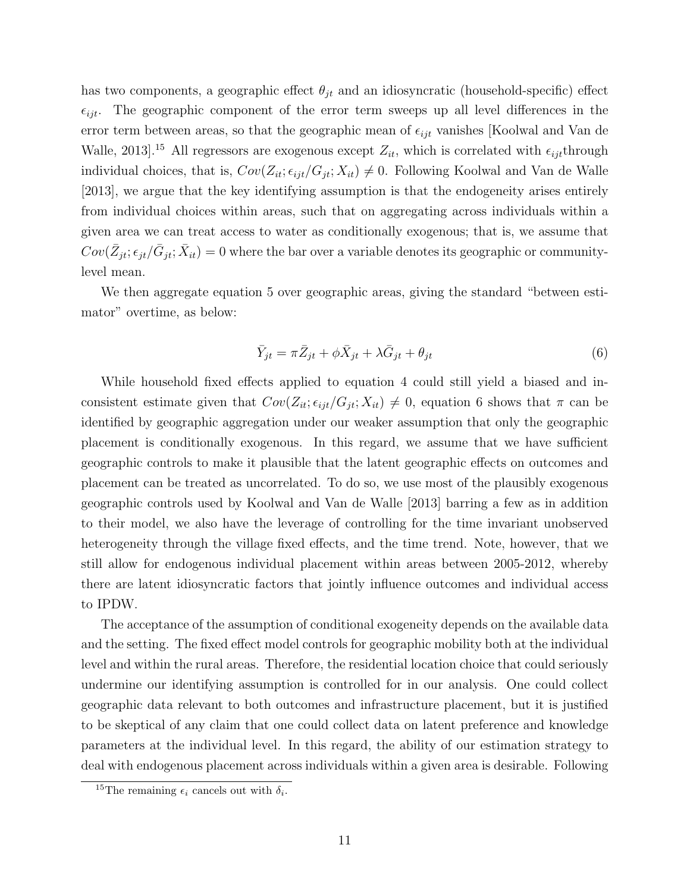has two components, a geographic effect  $\theta_{jt}$  and an idiosyncratic (household-specific) effect  $\epsilon_{ijt}$ . The geographic component of the error term sweeps up all level differences in the error term between areas, so that the geographic mean of  $\epsilon_{ijt}$  vanishes [\[Koolwal and Van de](#page-25-6) [Walle, 2013\]](#page-25-6).<sup>[15](#page-11-0)</sup> All regressors are exogenous except  $Z_{it}$ , which is correlated with  $\epsilon_{ijt}$ through individual choices, that is,  $Cov(Z_{it}; \epsilon_{ijt}/G_{jt}; X_{it}) \neq 0$ . Following [Koolwal and Van de Walle](#page-25-6) [\[2013\]](#page-25-6), we argue that the key identifying assumption is that the endogeneity arises entirely from individual choices within areas, such that on aggregating across individuals within a given area we can treat access to water as conditionally exogenous; that is, we assume that  $Cov(\bar{Z}_{jt}; \epsilon_{jt}/\bar{G}_{jt}; \bar{X}_{it}) = 0$  where the bar over a variable denotes its geographic or communitylevel mean.

We then aggregate equation [5](#page-10-3) over geographic areas, giving the standard "between estimator" overtime, as below:

<span id="page-11-1"></span>
$$
\bar{Y}_{jt} = \pi \bar{Z}_{jt} + \phi \bar{X}_{jt} + \lambda \bar{G}_{jt} + \theta_{jt}
$$
\n
$$
(6)
$$

While household fixed effects applied to equation [4](#page-9-1) could still yield a biased and inconsistent estimate given that  $Cov(Z_{it}; \epsilon_{ijt}/G_{jt}; X_{it}) \neq 0$ , equation [6](#page-11-1) shows that  $\pi$  can be identified by geographic aggregation under our weaker assumption that only the geographic placement is conditionally exogenous. In this regard, we assume that we have sufficient geographic controls to make it plausible that the latent geographic effects on outcomes and placement can be treated as uncorrelated. To do so, we use most of the plausibly exogenous geographic controls used by [Koolwal and Van de Walle](#page-25-6) [\[2013\]](#page-25-6) barring a few as in addition to their model, we also have the leverage of controlling for the time invariant unobserved heterogeneity through the village fixed effects, and the time trend. Note, however, that we still allow for endogenous individual placement within areas between 2005-2012, whereby there are latent idiosyncratic factors that jointly influence outcomes and individual access to IPDW.

The acceptance of the assumption of conditional exogeneity depends on the available data and the setting. The fixed effect model controls for geographic mobility both at the individual level and within the rural areas. Therefore, the residential location choice that could seriously undermine our identifying assumption is controlled for in our analysis. One could collect geographic data relevant to both outcomes and infrastructure placement, but it is justified to be skeptical of any claim that one could collect data on latent preference and knowledge parameters at the individual level. In this regard, the ability of our estimation strategy to deal with endogenous placement across individuals within a given area is desirable. Following

<span id="page-11-0"></span><sup>&</sup>lt;sup>15</sup>The remaining  $\epsilon_i$  cancels out with  $\delta_i$ .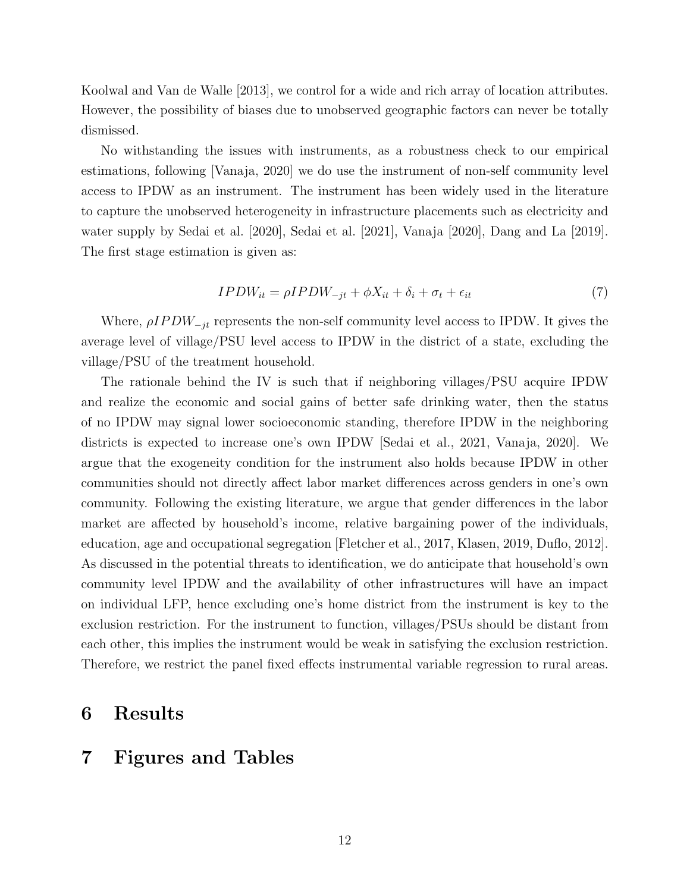[Koolwal and Van de Walle](#page-25-6) [\[2013\]](#page-25-6), we control for a wide and rich array of location attributes. However, the possibility of biases due to unobserved geographic factors can never be totally dismissed.

No withstanding the issues with instruments, as a robustness check to our empirical estimations, following [\[Vanaja, 2020\]](#page-26-3) we do use the instrument of non-self community level access to IPDW as an instrument. The instrument has been widely used in the literature to capture the unobserved heterogeneity in infrastructure placements such as electricity and water supply by [Sedai et al.](#page-26-10) [\[2020\]](#page-26-10), [Sedai et al.](#page-26-1) [\[2021\]](#page-26-1), [Vanaja](#page-26-3) [\[2020\]](#page-26-3), [Dang and La](#page-24-17) [\[2019\]](#page-24-17). The first stage estimation is given as:

$$
IPDW_{it} = \rho IPDW_{-jt} + \phi X_{it} + \delta_i + \sigma_t + \epsilon_{it}
$$
\n<sup>(7)</sup>

Where,  $\rho IPDW_{-it}$  represents the non-self community level access to IPDW. It gives the average level of village/PSU level access to IPDW in the district of a state, excluding the village/PSU of the treatment household.

The rationale behind the IV is such that if neighboring villages/PSU acquire IPDW and realize the economic and social gains of better safe drinking water, then the status of no IPDW may signal lower socioeconomic standing, therefore IPDW in the neighboring districts is expected to increase one's own IPDW [\[Sedai et al., 2021,](#page-26-1) [Vanaja, 2020\]](#page-26-3). We argue that the exogeneity condition for the instrument also holds because IPDW in other communities should not directly affect labor market differences across genders in one's own community. Following the existing literature, we argue that gender differences in the labor market are affected by household's income, relative bargaining power of the individuals, education, age and occupational segregation [\[Fletcher et al., 2017,](#page-25-1) [Klasen, 2019,](#page-25-0) [Duflo, 2012\]](#page-25-16). As discussed in the potential threats to identification, we do anticipate that household's own community level IPDW and the availability of other infrastructures will have an impact on individual LFP, hence excluding one's home district from the instrument is key to the exclusion restriction. For the instrument to function, villages/PSUs should be distant from each other, this implies the instrument would be weak in satisfying the exclusion restriction. Therefore, we restrict the panel fixed effects instrumental variable regression to rural areas.

## 6 Results

# 7 Figures and Tables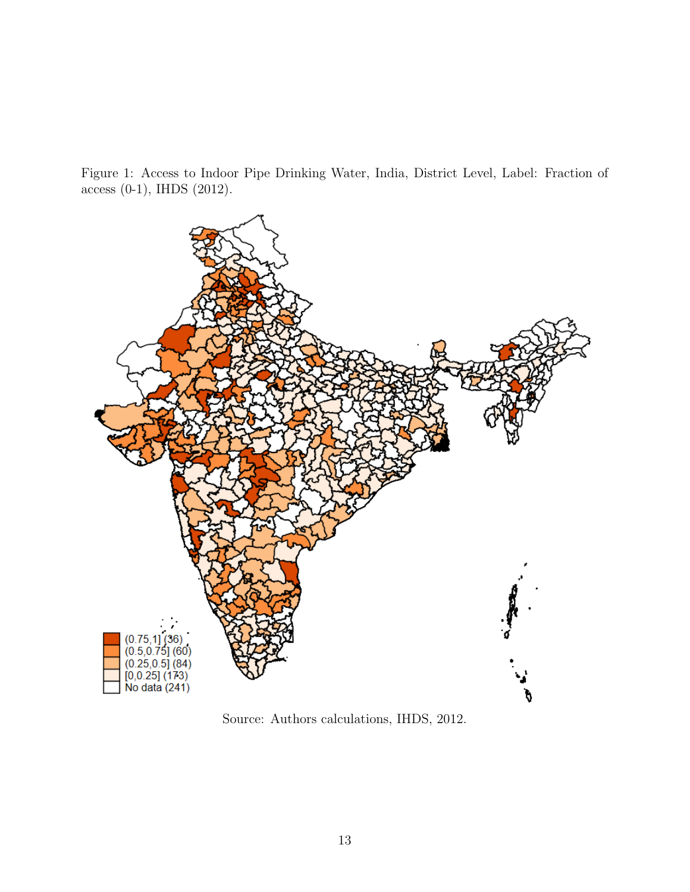Figure 1: Access to Indoor Pipe Drinking Water, India, District Level, Label: Fraction of access (0-1), IHDS (2012).



Source: Authors calculations, IHDS, 2012.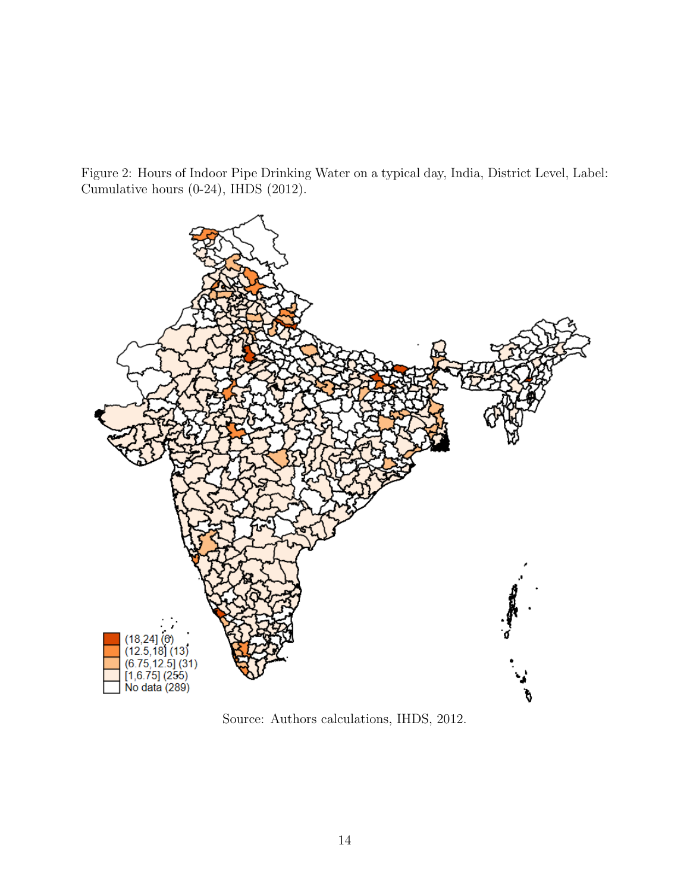Figure 2: Hours of Indoor Pipe Drinking Water on a typical day, India, District Level, Label: Cumulative hours (0-24), IHDS (2012).



Source: Authors calculations, IHDS, 2012.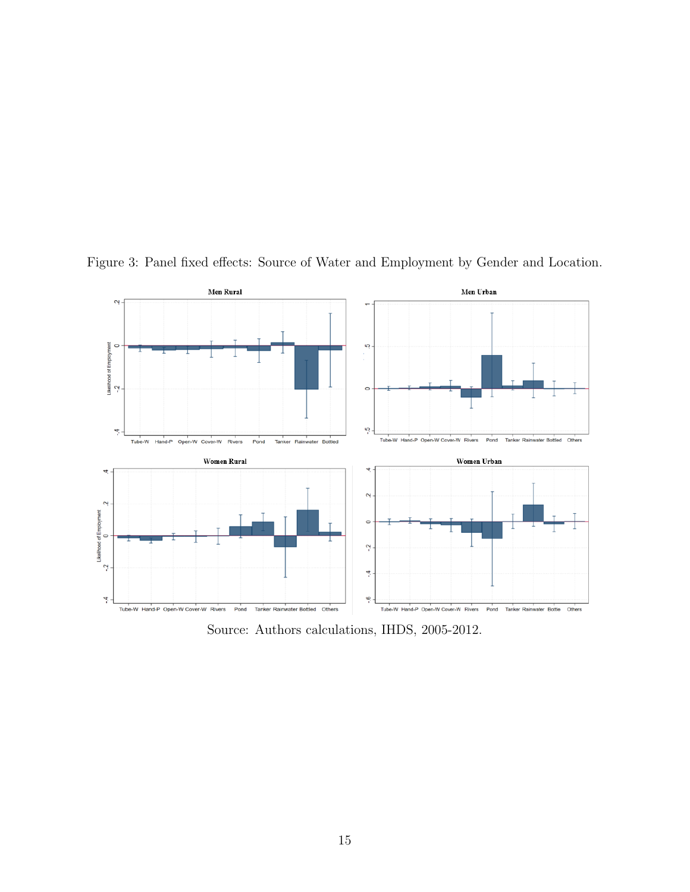

Figure 3: Panel fixed effects: Source of Water and Employment by Gender and Location.

Source: Authors calculations, IHDS, 2005-2012.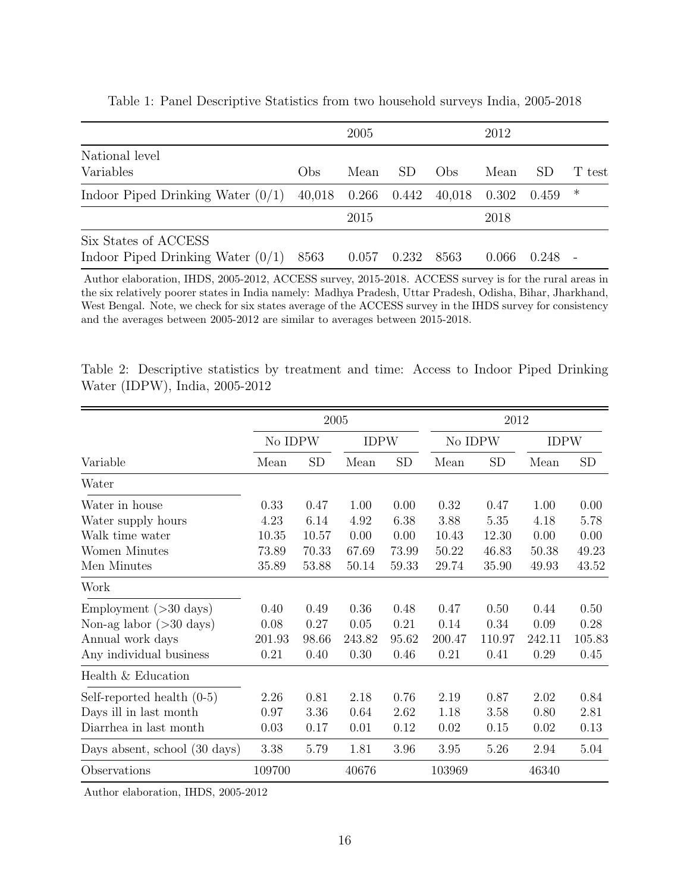|                                                             |        | 2005            |       |              | 2012  |       |        |
|-------------------------------------------------------------|--------|-----------------|-------|--------------|-------|-------|--------|
| National level<br>Variables                                 | Obs    | Mean            | SD.   | $_{\rm Obs}$ | Mean  | -SD   | T test |
| Indoor Piped Drinking Water $(0/1)$                         | 40,018 | $0.266$ $0.442$ |       | 40,018       | 0.302 | 0.459 | ∗      |
|                                                             |        | 2015            |       |              | 2018  |       |        |
| Six States of ACCESS<br>Indoor Piped Drinking Water $(0/1)$ | 8563   | 0.057           | 0.232 | 8563         | 0.066 | 0.248 |        |

Table 1: Panel Descriptive Statistics from two household surveys India, 2005-2018

Author elaboration, IHDS, 2005-2012, ACCESS survey, 2015-2018. ACCESS survey is for the rural areas in the six relatively poorer states in India namely: Madhya Pradesh, Uttar Pradesh, Odisha, Bihar, Jharkhand, West Bengal. Note, we check for six states average of the ACCESS survey in the IHDS survey for consistency and the averages between 2005-2012 are similar to averages between 2015-2018.

Table 2: Descriptive statistics by treatment and time: Access to Indoor Piped Drinking Water (IDPW), India, 2005-2012

|                                   |         | 2005  |             |           | 2012    |           |             |           |
|-----------------------------------|---------|-------|-------------|-----------|---------|-----------|-------------|-----------|
|                                   | No IDPW |       | <b>IDPW</b> |           | No IDPW |           | <b>IDPW</b> |           |
| Variable                          | Mean    | SD    | Mean        | <b>SD</b> | Mean    | <b>SD</b> | Mean        | <b>SD</b> |
| Water                             |         |       |             |           |         |           |             |           |
| Water in house                    | 0.33    | 0.47  | 1.00        | 0.00      | 0.32    | 0.47      | 1.00        | 0.00      |
| Water supply hours                | 4.23    | 6.14  | 4.92        | 6.38      | 3.88    | 5.35      | 4.18        | 5.78      |
| Walk time water                   | 10.35   | 10.57 | 0.00        | 0.00      | 10.43   | 12.30     | 0.00        | 0.00      |
| Women Minutes                     | 73.89   | 70.33 | 67.69       | 73.99     | 50.22   | 46.83     | 50.38       | 49.23     |
| Men Minutes                       | 35.89   | 53.88 | 50.14       | 59.33     | 29.74   | 35.90     | 49.93       | 43.52     |
| Work                              |         |       |             |           |         |           |             |           |
| Employment $(>30 \text{ days})$   | 0.40    | 0.49  | 0.36        | 0.48      | 0.47    | 0.50      | 0.44        | 0.50      |
| Non-ag labor $(>30 \text{ days})$ | 0.08    | 0.27  | 0.05        | 0.21      | 0.14    | 0.34      | 0.09        | 0.28      |
| Annual work days                  | 201.93  | 98.66 | 243.82      | 95.62     | 200.47  | 110.97    | 242.11      | 105.83    |
| Any individual business           | 0.21    | 0.40  | 0.30        | 0.46      | 0.21    | 0.41      | 0.29        | 0.45      |
| Health & Education                |         |       |             |           |         |           |             |           |
| Self-reported health $(0-5)$      | 2.26    | 0.81  | 2.18        | 0.76      | 2.19    | 0.87      | 2.02        | 0.84      |
| Days ill in last month            | 0.97    | 3.36  | 0.64        | 2.62      | 1.18    | 3.58      | 0.80        | 2.81      |
| Diarrhea in last month            | 0.03    | 0.17  | 0.01        | 0.12      | 0.02    | 0.15      | 0.02        | 0.13      |
| Days absent, school (30 days)     | 3.38    | 5.79  | 1.81        | 3.96      | 3.95    | 5.26      | 2.94        | 5.04      |
| Observations                      | 109700  |       | 40676       |           | 103969  |           | 46340       |           |

Author elaboration, IHDS, 2005-2012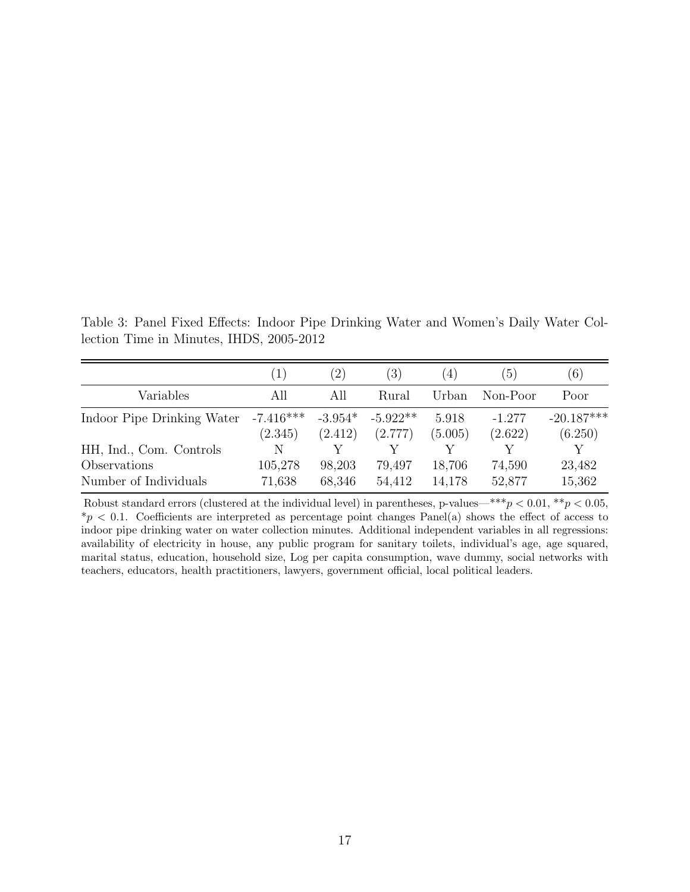Table 3: Panel Fixed Effects: Indoor Pipe Drinking Water and Women's Daily Water Collection Time in Minutes, IHDS, 2005-2012

|                            | $\left(1\right)$       | (2)                  | $\left(3\right)$      | $\left(4\right)$ | $\left(5\right)$    | (6)                     |
|----------------------------|------------------------|----------------------|-----------------------|------------------|---------------------|-------------------------|
| Variables                  | All                    | All                  | Rural                 | Urban            | Non-Poor            | Poor                    |
| Indoor Pipe Drinking Water | $-7.416***$<br>(2.345) | $-3.954*$<br>(2.412) | $-5.922**$<br>(2.777) | 5.918<br>(5.005) | $-1.277$<br>(2.622) | $-20.187***$<br>(6.250) |
| HH, Ind., Com. Controls    | N                      |                      |                       | V                |                     |                         |
| Observations               | 105,278                | 98,203               | 79,497                | 18,706           | 74,590              | 23,482                  |
| Number of Individuals      | 71,638                 | 68,346               | 54,412                | 14,178           | 52,877              | 15,362                  |

Robust standard errors (clustered at the individual level) in parentheses, p-values—\*\*\*p < 0.01, \*\*p < 0.05,  $*_p$  < 0.1. Coefficients are interpreted as percentage point changes Panel(a) shows the effect of access to indoor pipe drinking water on water collection minutes. Additional independent variables in all regressions: availability of electricity in house, any public program for sanitary toilets, individual's age, age squared, marital status, education, household size, Log per capita consumption, wave dummy, social networks with teachers, educators, health practitioners, lawyers, government official, local political leaders.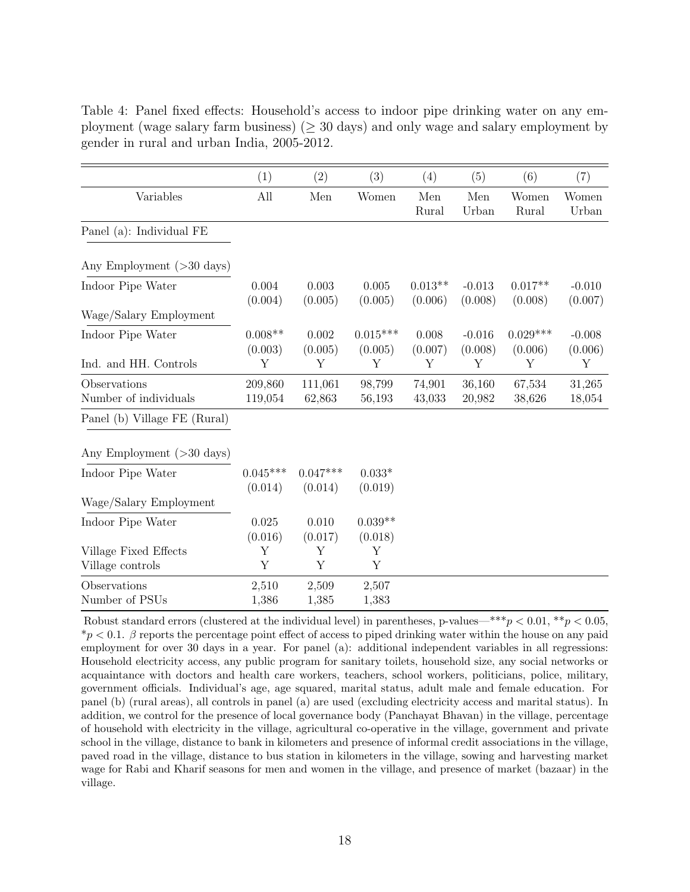<span id="page-18-0"></span>Table 4: Panel fixed effects: Household's access to indoor pipe drinking water on any employment (wage salary farm business) ( $\geq$  30 days) and only wage and salary employment by gender in rural and urban India, 2005-2012.

|                                       | (1)                   | (2)                   | (3)                   | (4)                  | (5)                 | (6)                   | (7)                 |
|---------------------------------------|-----------------------|-----------------------|-----------------------|----------------------|---------------------|-----------------------|---------------------|
| Variables                             | All                   | Men                   | Women                 | Men<br>Rural         | Men<br>Urban        | Women<br>Rural        | Women<br>Urban      |
| Panel (a): Individual FE              |                       |                       |                       |                      |                     |                       |                     |
| Any Employment $(>30 \text{ days})$   |                       |                       |                       |                      |                     |                       |                     |
| Indoor Pipe Water                     | 0.004<br>(0.004)      | 0.003<br>(0.005)      | 0.005<br>(0.005)      | $0.013**$<br>(0.006) | $-0.013$<br>(0.008) | $0.017**$<br>(0.008)  | $-0.010$<br>(0.007) |
| Wage/Salary Employment                |                       |                       |                       |                      |                     |                       |                     |
| Indoor Pipe Water                     | $0.008**$<br>(0.003)  | 0.002<br>(0.005)      | $0.015***$<br>(0.005) | 0.008<br>(0.007)     | $-0.016$<br>(0.008) | $0.029***$<br>(0.006) | $-0.008$<br>(0.006) |
| Ind. and HH. Controls                 | Y                     | Y                     | Y                     | Y                    | Υ                   | Y                     | Y                   |
| Observations<br>Number of individuals | 209,860<br>119,054    | 111,061<br>62,863     | 98,799<br>56,193      | 74,901<br>43,033     | 36,160<br>20,982    | 67,534<br>38,626      | 31,265<br>18,054    |
| Panel (b) Village FE (Rural)          |                       |                       |                       |                      |                     |                       |                     |
| Any Employment $(>30 \text{ days})$   |                       |                       |                       |                      |                     |                       |                     |
| Indoor Pipe Water                     | $0.045***$<br>(0.014) | $0.047***$<br>(0.014) | $0.033*$<br>(0.019)   |                      |                     |                       |                     |
| Wage/Salary Employment                |                       |                       |                       |                      |                     |                       |                     |
| Indoor Pipe Water                     | 0.025<br>(0.016)      | 0.010<br>(0.017)      | $0.039**$<br>(0.018)  |                      |                     |                       |                     |
| Village Fixed Effects                 | Υ                     | Υ                     | Y                     |                      |                     |                       |                     |
| Village controls                      | Y                     | Y                     | Y                     |                      |                     |                       |                     |
| Observations<br>Number of PSUs        | 2,510<br>1,386        | 2,509<br>1,385        | 2,507<br>1,383        |                      |                     |                       |                     |

Robust standard errors (clustered at the individual level) in parentheses, p-values—\*\*\*p  $< 0.01, **p < 0.05$ ,  $\gamma p < 0.1$ . β reports the percentage point effect of access to piped drinking water within the house on any paid employment for over 30 days in a year. For panel (a): additional independent variables in all regressions: Household electricity access, any public program for sanitary toilets, household size, any social networks or acquaintance with doctors and health care workers, teachers, school workers, politicians, police, military, government officials. Individual's age, age squared, marital status, adult male and female education. For panel (b) (rural areas), all controls in panel (a) are used (excluding electricity access and marital status). In addition, we control for the presence of local governance body (Panchayat Bhavan) in the village, percentage of household with electricity in the village, agricultural co-operative in the village, government and private school in the village, distance to bank in kilometers and presence of informal credit associations in the village, paved road in the village, distance to bus station in kilometers in the village, sowing and harvesting market wage for Rabi and Kharif seasons for men and women in the village, and presence of market (bazaar) in the village.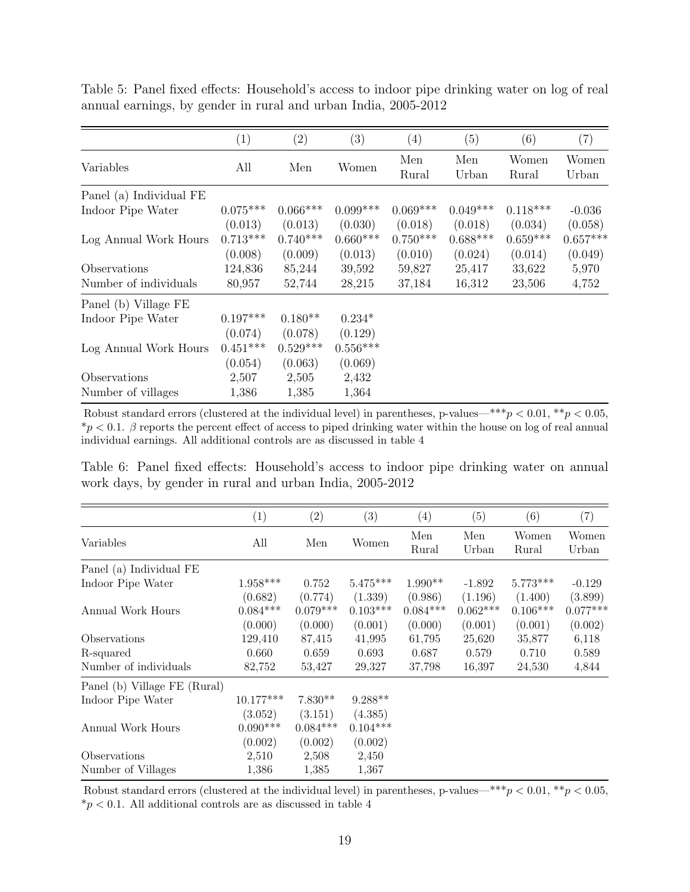|                         | (1)                              | (2)                              | (3)                              | (4)                              | (5)                              | (6)                              | (7)                              |
|-------------------------|----------------------------------|----------------------------------|----------------------------------|----------------------------------|----------------------------------|----------------------------------|----------------------------------|
| Variables               | All                              | Men                              | Women                            | Men<br>Rural                     | Men<br>Urban                     | Women<br>Rural                   | Women<br>Urban                   |
| Panel (a) Individual FE |                                  |                                  |                                  |                                  |                                  |                                  |                                  |
| Indoor Pipe Water       | $0.075***$                       | $0.066***$                       | $0.099***$                       | $0.069***$                       | $0.049***$                       | $0.118***$                       | $-0.036$                         |
| Log Annual Work Hours   | (0.013)<br>$0.713***$<br>(0.008) | (0.013)<br>$0.740***$<br>(0.009) | (0.030)<br>$0.660***$<br>(0.013) | (0.018)<br>$0.750***$<br>(0.010) | (0.018)<br>$0.688***$<br>(0.024) | (0.034)<br>$0.659***$<br>(0.014) | (0.058)<br>$0.657***$<br>(0.049) |
| Observations            | 124,836                          | 85,244                           | 39,592                           | 59,827                           | 25,417                           | 33,622                           | 5,970                            |
| Number of individuals   | 80,957                           | 52,744                           | 28,215                           | 37,184                           | 16,312                           | 23,506                           | 4,752                            |
| Panel (b) Village FE    |                                  |                                  |                                  |                                  |                                  |                                  |                                  |
| Indoor Pipe Water       | $0.197***$                       | $0.180**$                        | $0.234*$                         |                                  |                                  |                                  |                                  |
| Log Annual Work Hours   | (0.074)<br>$0.451***$<br>(0.054) | (0.078)<br>$0.529***$<br>(0.063) | (0.129)<br>$0.556***$<br>(0.069) |                                  |                                  |                                  |                                  |
| Observations            | 2,507                            | 2,505                            | 2,432                            |                                  |                                  |                                  |                                  |
| Number of villages      | 1,386                            | 1,385                            | 1,364                            |                                  |                                  |                                  |                                  |

Table 5: Panel fixed effects: Household's access to indoor pipe drinking water on log of real annual earnings, by gender in rural and urban India, 2005-2012

Robust standard errors (clustered at the individual level) in parentheses, p-values—\*\*\* $p < 0.01$ , \*\* $p < 0.05$ ,  $*p < 0.1$ .  $\beta$  reports the percent effect of access to piped drinking water within the house on log of real annual individual earnings. All additional controls are as discussed in table [4](#page-18-0)

Table 6: Panel fixed effects: Household's access to indoor pipe drinking water on annual work days, by gender in rural and urban India, 2005-2012

|                              | $\left(1\right)$ | $\left( 2\right)$ | (3)        | $\left( 4\right)$ | $\left( 5\right)$ | (6)            | (7)            |
|------------------------------|------------------|-------------------|------------|-------------------|-------------------|----------------|----------------|
| Variables                    | All              | Men               | Women      | Men<br>Rural      | Men<br>Urban      | Women<br>Rural | Women<br>Urban |
| Panel (a) Individual FE      |                  |                   |            |                   |                   |                |                |
| Indoor Pipe Water            | $1.958***$       | 0.752             | $5.475***$ | $1.990**$         | $-1.892$          | $5.773***$     | $-0.129$       |
|                              | (0.682)          | (0.774)           | (1.339)    | (0.986)           | (1.196)           | (1.400)        | (3.899)        |
| Annual Work Hours            | $0.084***$       | $0.079***$        | $0.103***$ | $0.084***$        | $0.062***$        | $0.106***$     | $0.077***$     |
|                              | (0.000)          | (0.000)           | (0.001)    | (0.000)           | (0.001)           | (0.001)        | (0.002)        |
| Observations                 | 129,410          | 87,415            | 41,995     | 61,795            | 25,620            | 35,877         | 6,118          |
| R-squared                    | 0.660            | 0.659             | 0.693      | 0.687             | 0.579             | 0.710          | 0.589          |
| Number of individuals        | 82,752           | 53,427            | 29,327     | 37,798            | 16,397            | 24,530         | 4,844          |
| Panel (b) Village FE (Rural) |                  |                   |            |                   |                   |                |                |
| Indoor Pipe Water            | $10.177***$      | $7.830**$         | $9.288**$  |                   |                   |                |                |
|                              | (3.052)          | (3.151)           | (4.385)    |                   |                   |                |                |
| Annual Work Hours            | $0.090***$       | $0.084***$        | $0.104***$ |                   |                   |                |                |
|                              | (0.002)          | (0.002)           | (0.002)    |                   |                   |                |                |
| Observations                 | 2,510            | 2,508             | 2,450      |                   |                   |                |                |
| Number of Villages           | 1,386            | 1,385             | 1,367      |                   |                   |                |                |

Robust standard errors (clustered at the individual level) in parentheses, p-values—\*\*\*p < 0.01, \*\*p < 0.05,  $*p < 0.1$ . All additional controls are as discussed in table [4](#page-18-0)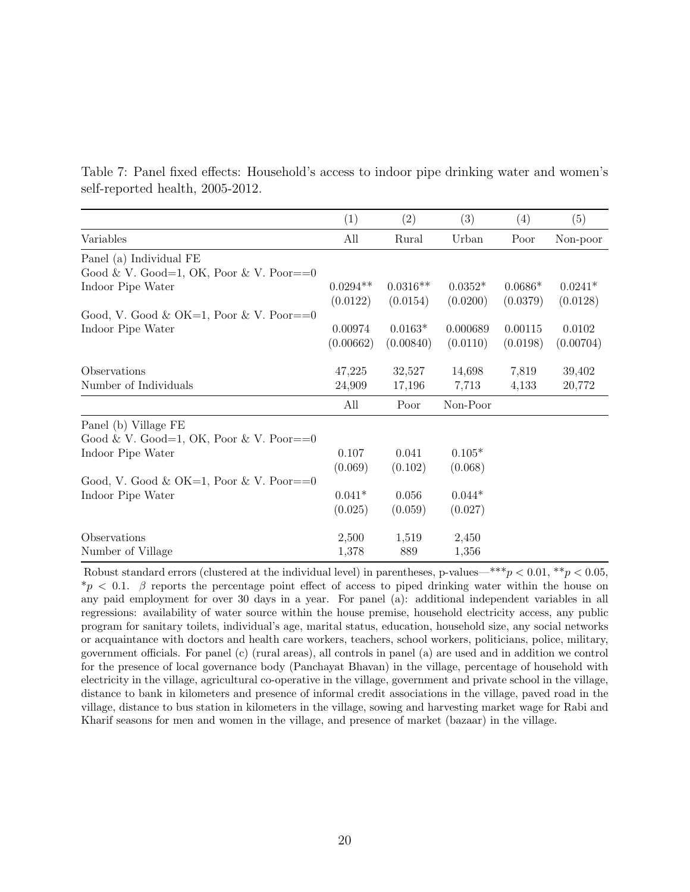|                                  |  | Table 7: Panel fixed effects: Household's access to indoor pipe drinking water and women's |  |  |  |  |  |
|----------------------------------|--|--------------------------------------------------------------------------------------------|--|--|--|--|--|
| self-reported health, 2005-2012. |  |                                                                                            |  |  |  |  |  |

|                                         | (1)        | $\left( 2\right)$ | (3)       | (4)       | (5)       |
|-----------------------------------------|------------|-------------------|-----------|-----------|-----------|
| Variables                               | All        | Rural             | Urban     | Poor      | Non-poor  |
| Panel (a) Individual FE                 |            |                   |           |           |           |
| Good & V. Good=1, OK, Poor & V. Poor==0 |            |                   |           |           |           |
| Indoor Pipe Water                       | $0.0294**$ | $0.0316**$        | $0.0352*$ | $0.0686*$ | $0.0241*$ |
|                                         | (0.0122)   | (0.0154)          | (0.0200)  | (0.0379)  | (0.0128)  |
| Good, V. Good & OK=1, Poor & V. Poor==0 |            |                   |           |           |           |
| Indoor Pipe Water                       | 0.00974    | $0.0163*$         | 0.000689  | 0.00115   | 0.0102    |
|                                         | (0.00662)  | (0.00840)         | (0.0110)  | (0.0198)  | (0.00704) |
| Observations                            | 47,225     | 32,527            | 14,698    | 7,819     | 39,402    |
| Number of Individuals                   | 24,909     | 17,196            | 7,713     | 4,133     | 20,772    |
|                                         | All        | Poor              | Non-Poor  |           |           |
| Panel (b) Village FE                    |            |                   |           |           |           |
| Good & V. Good=1, OK, Poor & V. Poor==0 |            |                   |           |           |           |
| Indoor Pipe Water                       | 0.107      | 0.041             | $0.105*$  |           |           |
|                                         | (0.069)    | (0.102)           | (0.068)   |           |           |
| Good, V. Good & OK=1, Poor & V. Poor==0 |            |                   |           |           |           |
| Indoor Pipe Water                       | $0.041*$   | 0.056             | $0.044*$  |           |           |
|                                         | (0.025)    | (0.059)           | (0.027)   |           |           |
| Observations                            | 2,500      | 1,519             | 2,450     |           |           |
| Number of Village                       | 1,378      | 889               | 1,356     |           |           |

Robust standard errors (clustered at the individual level) in parentheses, p-values—\*\*\*p < 0.01, \*\*p < 0.05,  $\gamma_p$  < 0.1. β reports the percentage point effect of access to piped drinking water within the house on any paid employment for over 30 days in a year. For panel (a): additional independent variables in all regressions: availability of water source within the house premise, household electricity access, any public program for sanitary toilets, individual's age, marital status, education, household size, any social networks or acquaintance with doctors and health care workers, teachers, school workers, politicians, police, military, government officials. For panel (c) (rural areas), all controls in panel (a) are used and in addition we control for the presence of local governance body (Panchayat Bhavan) in the village, percentage of household with electricity in the village, agricultural co-operative in the village, government and private school in the village, distance to bank in kilometers and presence of informal credit associations in the village, paved road in the village, distance to bus station in kilometers in the village, sowing and harvesting market wage for Rabi and Kharif seasons for men and women in the village, and presence of market (bazaar) in the village.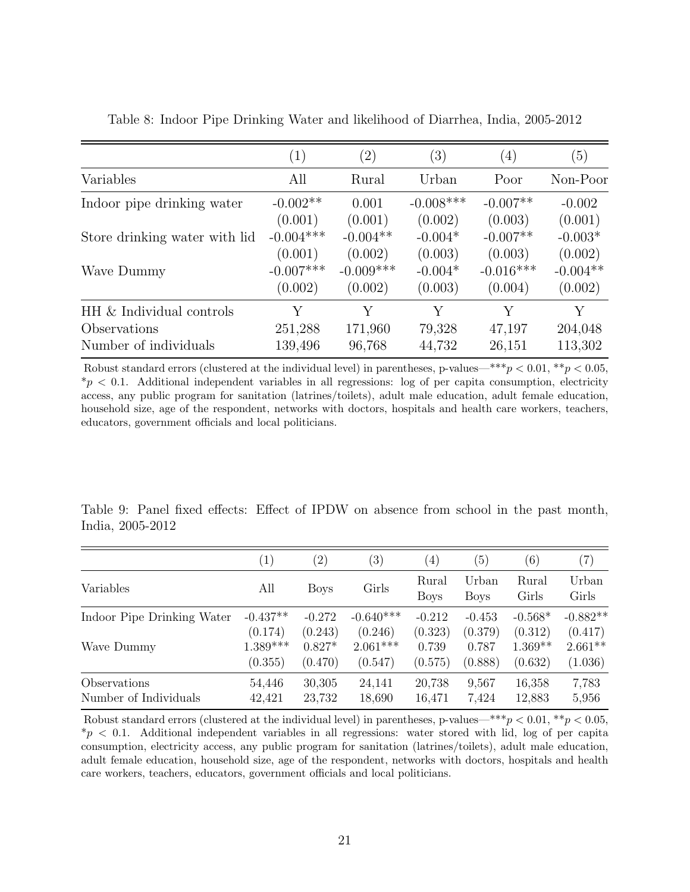|                               | $\left( 1\right)$ | $\left( 2\right)$ | $\left( 3\right)$ | $\left( 4\right)$ | (5)        |
|-------------------------------|-------------------|-------------------|-------------------|-------------------|------------|
| Variables                     | All               | Rural             | Urban             | Poor              | Non-Poor   |
| Indoor pipe drinking water    | $-0.002**$        | 0.001             | $-0.008***$       | $-0.007**$        | $-0.002$   |
|                               | (0.001)           | (0.001)           | (0.002)           | (0.003)           | (0.001)    |
| Store drinking water with lid | $-0.004***$       | $-0.004**$        | $-0.004*$         | $-0.007**$        | $-0.003*$  |
|                               | (0.001)           | (0.002)           | (0.003)           | (0.003)           | (0.002)    |
| Wave Dummy                    | $-0.007***$       | $-0.009***$       | $-0.004*$         | $-0.016***$       | $-0.004**$ |
|                               | (0.002)           | (0.002)           | (0.003)           | (0.004)           | (0.002)    |
| HH & Individual controls      | Y                 | Y                 | Y                 | Y                 | Y          |
| Observations                  | 251,288           | 171,960           | 79,328            | 47,197            | 204,048    |
| Number of individuals         | 139,496           | 96,768            | 44,732            | 26,151            | 113,302    |

Table 8: Indoor Pipe Drinking Water and likelihood of Diarrhea, India, 2005-2012

Robust standard errors (clustered at the individual level) in parentheses, p-values—\*\*\* $p < 0.01$ , \*\* $p < 0.05$ ,  $*_p$  < 0.1. Additional independent variables in all regressions: log of per capita consumption, electricity access, any public program for sanitation (latrines/toilets), adult male education, adult female education, household size, age of the respondent, networks with doctors, hospitals and health care workers, teachers, educators, government officials and local politicians.

Table 9: Panel fixed effects: Effect of IPDW on absence from school in the past month, India, 2005-2012

|                            | $\left(1\right)$ | $\left( 2\right)$ | (3)         | $\left( 4\right)$    | $\left(5\right)$     | $\left( 6\right)$ | (7)            |
|----------------------------|------------------|-------------------|-------------|----------------------|----------------------|-------------------|----------------|
| Variables                  | All              | <b>Boys</b>       | Girls       | Rural<br><b>Boys</b> | Urban<br><b>Boys</b> | Rural<br>Girls    | Urban<br>Girls |
| Indoor Pipe Drinking Water | $-0.437**$       | $-0.272$          | $-0.640***$ | $-0.212$             | $-0.453$             | $-0.568*$         | $-0.882**$     |
|                            | (0.174)          | (0.243)           | (0.246)     | (0.323)              | (0.379)              | (0.312)           | (0.417)        |
| Wave Dummy                 | $1.389***$       | $0.827*$          | $2.061***$  | 0.739                | 0.787                | $1.369**$         | $2.661**$      |
|                            | (0.355)          | (0.470)           | (0.547)     | (0.575)              | (0.888)              | (0.632)           | (1.036)        |
| Observations               | 54,446           | 30,305            | 24,141      | 20,738               | 9,567                | 16,358            | 7,783          |
| Number of Individuals      | 42,421           | 23,732            | 18,690      | 16,471               | 7.424                | 12,883            | 5,956          |

Robust standard errors (clustered at the individual level) in parentheses, p-values—\*\*\*p < 0.01, \*\*p < 0.05,  $*_p$  < 0.1. Additional independent variables in all regressions: water stored with lid, log of per capita consumption, electricity access, any public program for sanitation (latrines/toilets), adult male education, adult female education, household size, age of the respondent, networks with doctors, hospitals and health care workers, teachers, educators, government officials and local politicians.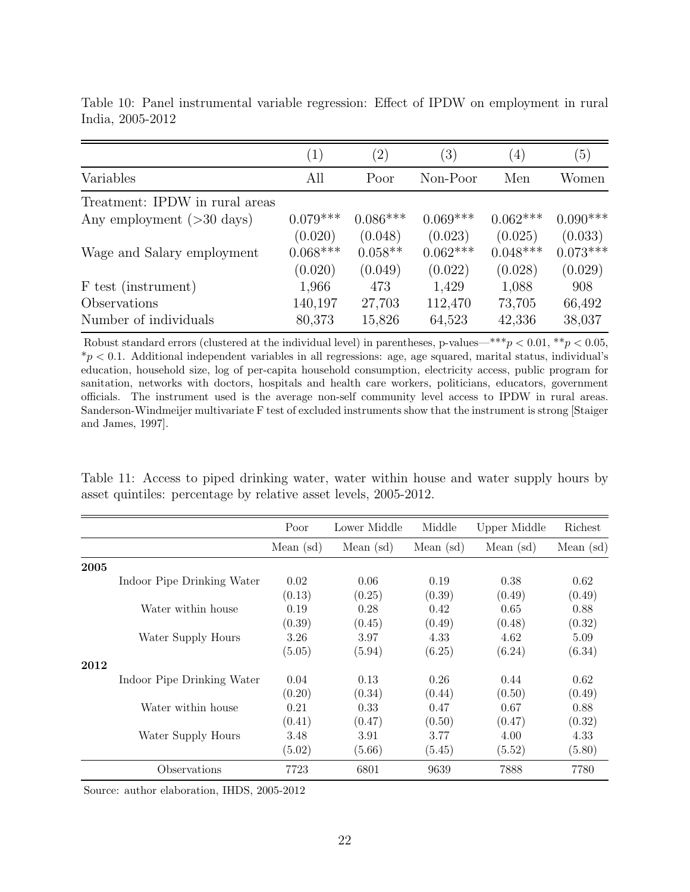|                                | $\left(1\right)$ | $^{\prime}2)$ | $\left( 3\right)$ | $\left( 4\right)$ | (5)        |
|--------------------------------|------------------|---------------|-------------------|-------------------|------------|
| Variables                      | All              | Poor          | Non-Poor          | Men               | Women      |
| Treatment: IPDW in rural areas |                  |               |                   |                   |            |
| Any employment $($ >30 days)   | $0.079***$       | $0.086***$    | $0.069***$        | $0.062***$        | $0.090***$ |
|                                | (0.020)          | (0.048)       | (0.023)           | (0.025)           | (0.033)    |
| Wage and Salary employment     | $0.068***$       | $0.058**$     | $0.062***$        | $0.048***$        | $0.073***$ |
|                                | (0.020)          | (0.049)       | (0.022)           | (0.028)           | (0.029)    |
| F test (instrument)            | 1,966            | 473           | 1,429             | 1,088             | 908        |
| Observations                   | 140,197          | 27,703        | 112,470           | 73,705            | 66,492     |
| Number of individuals          | 80,373           | 15,826        | 64,523            | 42,336            | 38,037     |

Table 10: Panel instrumental variable regression: Effect of IPDW on employment in rural India, 2005-2012

Robust standard errors (clustered at the individual level) in parentheses, p-values—\*\*\*p < 0.01, \*\*p < 0.05,  $*p < 0.1$ . Additional independent variables in all regressions: age, age squared, marital status, individual's education, household size, log of per-capita household consumption, electricity access, public program for sanitation, networks with doctors, hospitals and health care workers, politicians, educators, government officials. The instrument used is the average non-self community level access to IPDW in rural areas. Sanderson-Windmeijer multivariate F test of excluded instruments show that the instrument is strong [\[Staiger](#page-26-18) [and James, 1997\]](#page-26-18).

Table 11: Access to piped drinking water, water within house and water supply hours by asset quintiles: percentage by relative asset levels, 2005-2012.

|      |                            | Poor        | Lower Middle | Middle      | Upper Middle | Richest     |
|------|----------------------------|-------------|--------------|-------------|--------------|-------------|
|      |                            | Mean $(sd)$ | Mean $(sd)$  | Mean $(sd)$ | Mean $(sd)$  | Mean $(sd)$ |
| 2005 |                            |             |              |             |              |             |
|      | Indoor Pipe Drinking Water | 0.02        | 0.06         | 0.19        | 0.38         | 0.62        |
|      |                            | (0.13)      | (0.25)       | (0.39)      | (0.49)       | (0.49)      |
|      | Water within house         | 0.19        | 0.28         | 0.42        | 0.65         | 0.88        |
|      |                            | (0.39)      | (0.45)       | (0.49)      | (0.48)       | (0.32)      |
|      | Water Supply Hours         | 3.26        | 3.97         | 4.33        | 4.62         | 5.09        |
|      |                            | (5.05)      | (5.94)       | (6.25)      | (6.24)       | (6.34)      |
| 2012 |                            |             |              |             |              |             |
|      | Indoor Pipe Drinking Water | 0.04        | 0.13         | 0.26        | 0.44         | 0.62        |
|      |                            | (0.20)      | (0.34)       | (0.44)      | (0.50)       | (0.49)      |
|      | Water within house         | 0.21        | 0.33         | 0.47        | 0.67         | 0.88        |
|      |                            | (0.41)      | (0.47)       | (0.50)      | (0.47)       | (0.32)      |
|      | Water Supply Hours         | 3.48        | 3.91         | 3.77        | 4.00         | 4.33        |
|      |                            | (5.02)      | (5.66)       | (5.45)      | (5.52)       | (5.80)      |
|      | Observations               | 7723        | 6801         | 9639        | 7888         | 7780        |

Source: author elaboration, IHDS, 2005-2012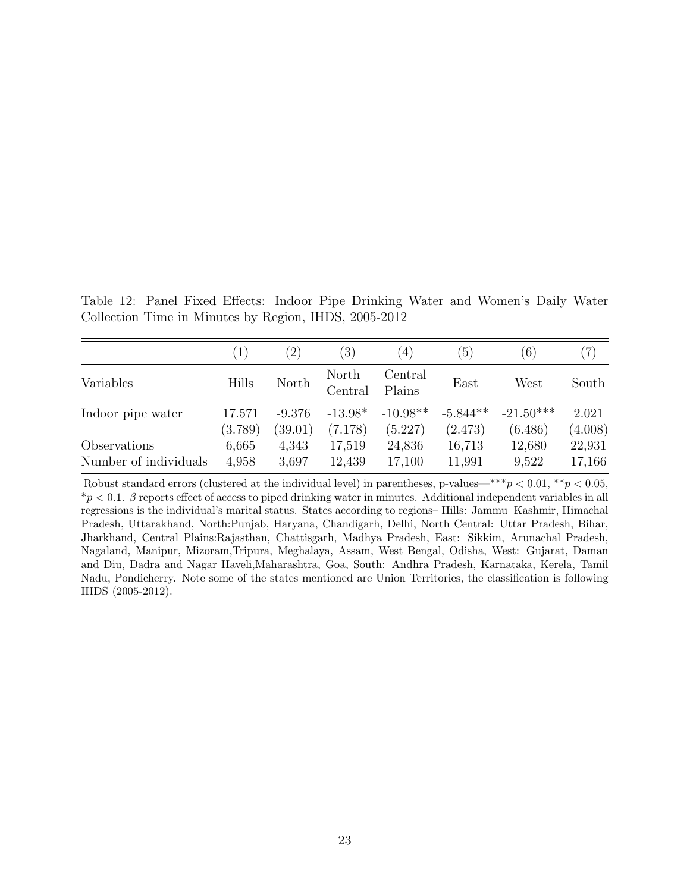Table 12: Panel Fixed Effects: Indoor Pipe Drinking Water and Women's Daily Water Collection Time in Minutes by Region, IHDS, 2005-2012

|                       | $\left(1\right)$ | $\left( 2\right)$ | $\left( 3\right)$ | $\left( 4\right)$ | (5)        | $\left(6\right)$ | $\left( 7\right)$ |
|-----------------------|------------------|-------------------|-------------------|-------------------|------------|------------------|-------------------|
| Variables             | <b>Hills</b>     | North             | North<br>Central  | Central<br>Plains | East       | West             | South             |
| Indoor pipe water     | 17.571           | $-9.376$          | $-13.98*$         | $-10.98**$        | $-5.844**$ | $-21.50***$      | 2.021             |
|                       | (3.789)          | (39.01)           | (7.178)           | (5.227)           | (2.473)    | (6.486)          | (4.008)           |
| Observations          | 6,665            | 4,343             | 17,519            | 24,836            | 16,713     | 12,680           | 22,931            |
| Number of individuals | 4,958            | 3,697             | 12,439            | 17,100            | 11,991     | 9,522            | 17,166            |

Robust standard errors (clustered at the individual level) in parentheses, p-values—\*\*\*p < 0.01, \*\*p < 0.05,  $\gamma_p < 0.1$ .  $\beta$  reports effect of access to piped drinking water in minutes. Additional independent variables in all regressions is the individual's marital status. States according to regions– Hills: Jammu Kashmir, Himachal Pradesh, Uttarakhand, North:Punjab, Haryana, Chandigarh, Delhi, North Central: Uttar Pradesh, Bihar, Jharkhand, Central Plains:Rajasthan, Chattisgarh, Madhya Pradesh, East: Sikkim, Arunachal Pradesh, Nagaland, Manipur, Mizoram,Tripura, Meghalaya, Assam, West Bengal, Odisha, West: Gujarat, Daman and Diu, Dadra and Nagar Haveli,Maharashtra, Goa, South: Andhra Pradesh, Karnataka, Kerela, Tamil Nadu, Pondicherry. Note some of the states mentioned are Union Territories, the classification is following IHDS (2005-2012).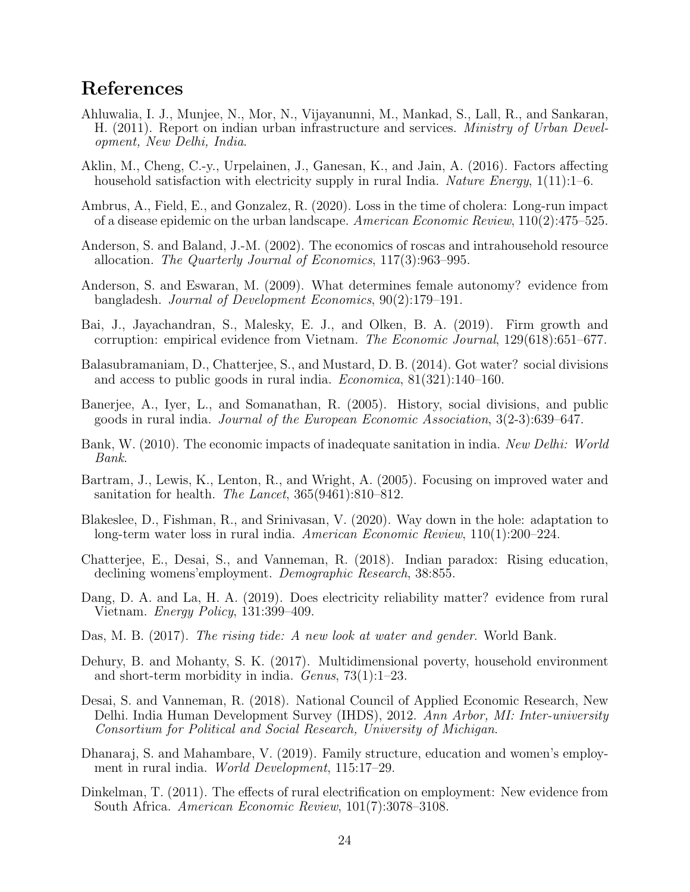# References

- <span id="page-24-3"></span>Ahluwalia, I. J., Munjee, N., Mor, N., Vijayanunni, M., Mankad, S., Lall, R., and Sankaran, H. (2011). Report on indian urban infrastructure and services. *Ministry of Urban Devel*opment, New Delhi, India.
- <span id="page-24-12"></span>Aklin, M., Cheng, C.-y., Urpelainen, J., Ganesan, K., and Jain, A. (2016). Factors affecting household satisfaction with electricity supply in rural India. Nature Energy,  $1(11):1-6$ .
- <span id="page-24-6"></span>Ambrus, A., Field, E., and Gonzalez, R. (2020). Loss in the time of cholera: Long-run impact of a disease epidemic on the urban landscape. American Economic Review, 110(2):475–525.
- <span id="page-24-10"></span>Anderson, S. and Baland, J.-M. (2002). The economics of roscas and intrahousehold resource allocation. The Quarterly Journal of Economics, 117(3):963–995.
- <span id="page-24-11"></span>Anderson, S. and Eswaran, M. (2009). What determines female autonomy? evidence from bangladesh. Journal of Development Economics, 90(2):179–191.
- <span id="page-24-16"></span>Bai, J., Jayachandran, S., Malesky, E. J., and Olken, B. A. (2019). Firm growth and corruption: empirical evidence from Vietnam. The Economic Journal, 129(618):651–677.
- <span id="page-24-4"></span>Balasubramaniam, D., Chatterjee, S., and Mustard, D. B. (2014). Got water? social divisions and access to public goods in rural india. Economica, 81(321):140–160.
- <span id="page-24-5"></span>Banerjee, A., Iyer, L., and Somanathan, R. (2005). History, social divisions, and public goods in rural india. Journal of the European Economic Association, 3(2-3):639–647.
- <span id="page-24-1"></span>Bank, W. (2010). The economic impacts of inadequate sanitation in india. New Delhi: World Bank.
- <span id="page-24-13"></span>Bartram, J., Lewis, K., Lenton, R., and Wright, A. (2005). Focusing on improved water and sanitation for health. *The Lancet*,  $365(9461):810-812$ .
- <span id="page-24-7"></span>Blakeslee, D., Fishman, R., and Srinivasan, V. (2020). Way down in the hole: adaptation to long-term water loss in rural india. American Economic Review, 110(1):200–224.
- <span id="page-24-15"></span>Chatterjee, E., Desai, S., and Vanneman, R. (2018). Indian paradox: Rising education, declining womens'employment. Demographic Research, 38:855.
- <span id="page-24-17"></span>Dang, D. A. and La, H. A. (2019). Does electricity reliability matter? evidence from rural Vietnam. Energy Policy, 131:399–409.
- <span id="page-24-0"></span>Das, M. B. (2017). The rising tide: A new look at water and gender. World Bank.
- <span id="page-24-2"></span>Dehury, B. and Mohanty, S. K. (2017). Multidimensional poverty, household environment and short-term morbidity in india. Genus, 73(1):1–23.
- <span id="page-24-14"></span>Desai, S. and Vanneman, R. (2018). National Council of Applied Economic Research, New Delhi. India Human Development Survey (IHDS), 2012. Ann Arbor, MI: Inter-university Consortium for Political and Social Research, University of Michigan.
- <span id="page-24-8"></span>Dhanaraj, S. and Mahambare, V. (2019). Family structure, education and women's employment in rural india. World Development, 115:17–29.
- <span id="page-24-9"></span>Dinkelman, T. (2011). The effects of rural electrification on employment: New evidence from South Africa. American Economic Review, 101(7):3078–3108.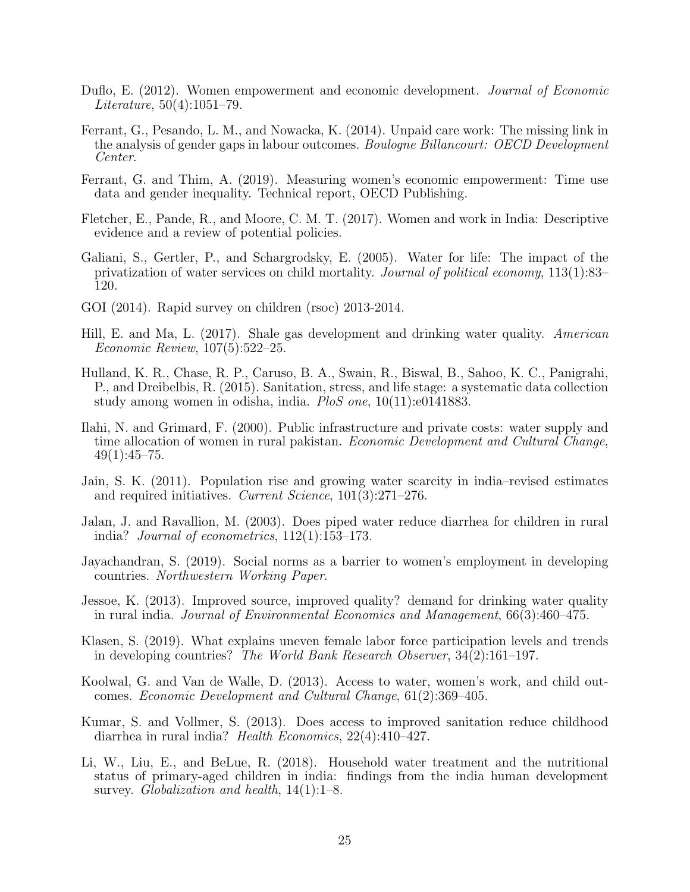- <span id="page-25-16"></span>Duflo, E. (2012). Women empowerment and economic development. Journal of Economic Literature, 50(4):1051–79.
- <span id="page-25-4"></span>Ferrant, G., Pesando, L. M., and Nowacka, K. (2014). Unpaid care work: The missing link in the analysis of gender gaps in labour outcomes. Boulogne Billancourt: OECD Development Center.
- <span id="page-25-5"></span>Ferrant, G. and Thim, A. (2019). Measuring women's economic empowerment: Time use data and gender inequality. Technical report, OECD Publishing.
- <span id="page-25-1"></span>Fletcher, E., Pande, R., and Moore, C. M. T. (2017). Women and work in India: Descriptive evidence and a review of potential policies.
- <span id="page-25-10"></span>Galiani, S., Gertler, P., and Schargrodsky, E. (2005). Water for life: The impact of the privatization of water services on child mortality. Journal of political economy, 113(1):83– 120.
- <span id="page-25-9"></span>GOI (2014). Rapid survey on children (rsoc) 2013-2014.
- <span id="page-25-12"></span>Hill, E. and Ma, L. (2017). Shale gas development and drinking water quality. American Economic Review, 107(5):522–25.
- <span id="page-25-7"></span>Hulland, K. R., Chase, R. P., Caruso, B. A., Swain, R., Biswal, B., Sahoo, K. C., Panigrahi, P., and Dreibelbis, R. (2015). Sanitation, stress, and life stage: a systematic data collection study among women in odisha, india. PloS one, 10(11):e0141883.
- <span id="page-25-8"></span>Ilahi, N. and Grimard, F. (2000). Public infrastructure and private costs: water supply and time allocation of women in rural pakistan. Economic Development and Cultural Change,  $49(1):45-75.$
- <span id="page-25-11"></span>Jain, S. K. (2011). Population rise and growing water scarcity in india–revised estimates and required initiatives. Current Science, 101(3):271–276.
- <span id="page-25-14"></span>Jalan, J. and Ravallion, M. (2003). Does piped water reduce diarrhea for children in rural india? Journal of econometrics, 112(1):153–173.
- <span id="page-25-2"></span>Jayachandran, S. (2019). Social norms as a barrier to women's employment in developing countries. Northwestern Working Paper.
- <span id="page-25-3"></span>Jessoe, K. (2013). Improved source, improved quality? demand for drinking water quality in rural india. Journal of Environmental Economics and Management, 66(3):460–475.
- <span id="page-25-0"></span>Klasen, S. (2019). What explains uneven female labor force participation levels and trends in developing countries? The World Bank Research Observer, 34(2):161–197.
- <span id="page-25-6"></span>Koolwal, G. and Van de Walle, D. (2013). Access to water, women's work, and child outcomes. Economic Development and Cultural Change, 61(2):369–405.
- <span id="page-25-13"></span>Kumar, S. and Vollmer, S. (2013). Does access to improved sanitation reduce childhood diarrhea in rural india? Health Economics, 22(4):410–427.
- <span id="page-25-15"></span>Li, W., Liu, E., and BeLue, R. (2018). Household water treatment and the nutritional status of primary-aged children in india: findings from the india human development survey. Globalization and health,  $14(1):1-8$ .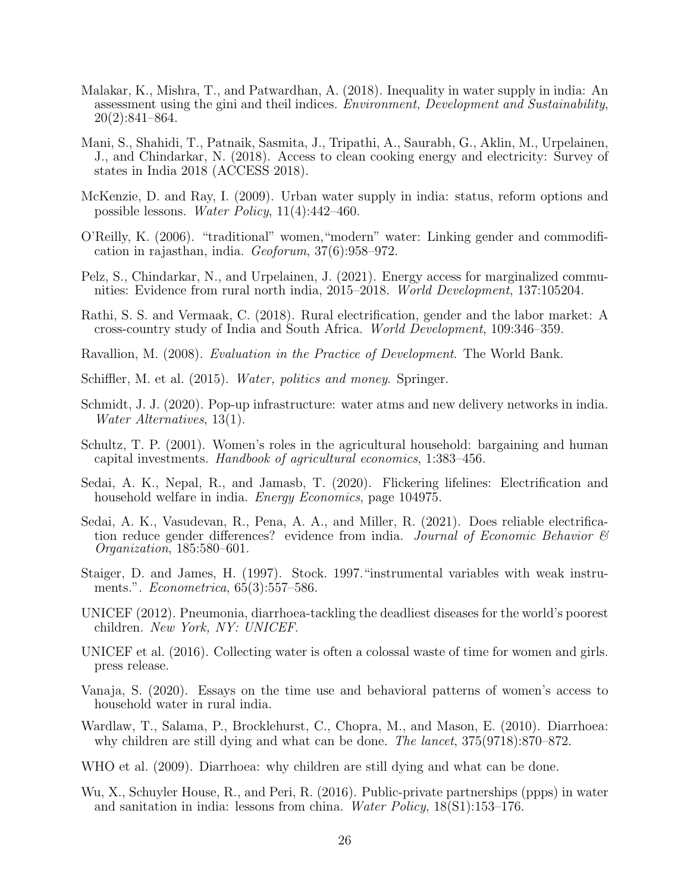- <span id="page-26-8"></span>Malakar, K., Mishra, T., and Patwardhan, A. (2018). Inequality in water supply in india: An assessment using the gini and theil indices. Environment, Development and Sustainability, 20(2):841–864.
- <span id="page-26-16"></span>Mani, S., Shahidi, T., Patnaik, Sasmita, J., Tripathi, A., Saurabh, G., Aklin, M., Urpelainen, J., and Chindarkar, N. (2018). Access to clean cooking energy and electricity: Survey of states in India 2018 (ACCESS 2018).
- <span id="page-26-5"></span>McKenzie, D. and Ray, I. (2009). Urban water supply in india: status, reform options and possible lessons. Water Policy, 11(4):442–460.
- <span id="page-26-0"></span>O'Reilly, K. (2006). "traditional" women,"modern" water: Linking gender and commodification in rajasthan, india. Geoforum, 37(6):958–972.
- <span id="page-26-7"></span>Pelz, S., Chindarkar, N., and Urpelainen, J. (2021). Energy access for marginalized communities: Evidence from rural north india, 2015–2018. World Development, 137:105204.
- <span id="page-26-11"></span>Rathi, S. S. and Vermaak, C. (2018). Rural electrification, gender and the labor market: A cross-country study of India and South Africa. World Development, 109:346–359.
- <span id="page-26-17"></span>Ravallion, M. (2008). Evaluation in the Practice of Development. The World Bank.
- <span id="page-26-4"></span>Schiffler, M. et al. (2015). *Water, politics and money*. Springer.
- <span id="page-26-9"></span>Schmidt, J. J. (2020). Pop-up infrastructure: water atms and new delivery networks in india. Water Alternatives, 13(1).
- <span id="page-26-12"></span>Schultz, T. P. (2001). Women's roles in the agricultural household: bargaining and human capital investments. Handbook of agricultural economics, 1:383–456.
- <span id="page-26-10"></span>Sedai, A. K., Nepal, R., and Jamasb, T. (2020). Flickering lifelines: Electrification and household welfare in india. *Energy Economics*, page 104975.
- <span id="page-26-1"></span>Sedai, A. K., Vasudevan, R., Pena, A. A., and Miller, R. (2021). Does reliable electrification reduce gender differences? evidence from india. Journal of Economic Behavior  $\mathcal{B}$ Organization, 185:580–601.
- <span id="page-26-18"></span>Staiger, D. and James, H. (1997). Stock. 1997."instrumental variables with weak instruments.". *Econometrica*, 65(3):557–586.
- <span id="page-26-13"></span>UNICEF (2012). Pneumonia, diarrhoea-tackling the deadliest diseases for the world's poorest children. New York, NY: UNICEF.
- <span id="page-26-2"></span>UNICEF et al. (2016). Collecting water is often a colossal waste of time for women and girls. press release.
- <span id="page-26-3"></span>Vanaja, S. (2020). Essays on the time use and behavioral patterns of women's access to household water in rural india.
- <span id="page-26-15"></span>Wardlaw, T., Salama, P., Brocklehurst, C., Chopra, M., and Mason, E. (2010). Diarrhoea: why children are still dying and what can be done. The lancet, 375(9718):870–872.
- <span id="page-26-14"></span>WHO et al. (2009). Diarrhoea: why children are still dying and what can be done.
- <span id="page-26-6"></span>Wu, X., Schuyler House, R., and Peri, R. (2016). Public-private partnerships (ppps) in water and sanitation in india: lessons from china. Water Policy, 18(S1):153–176.